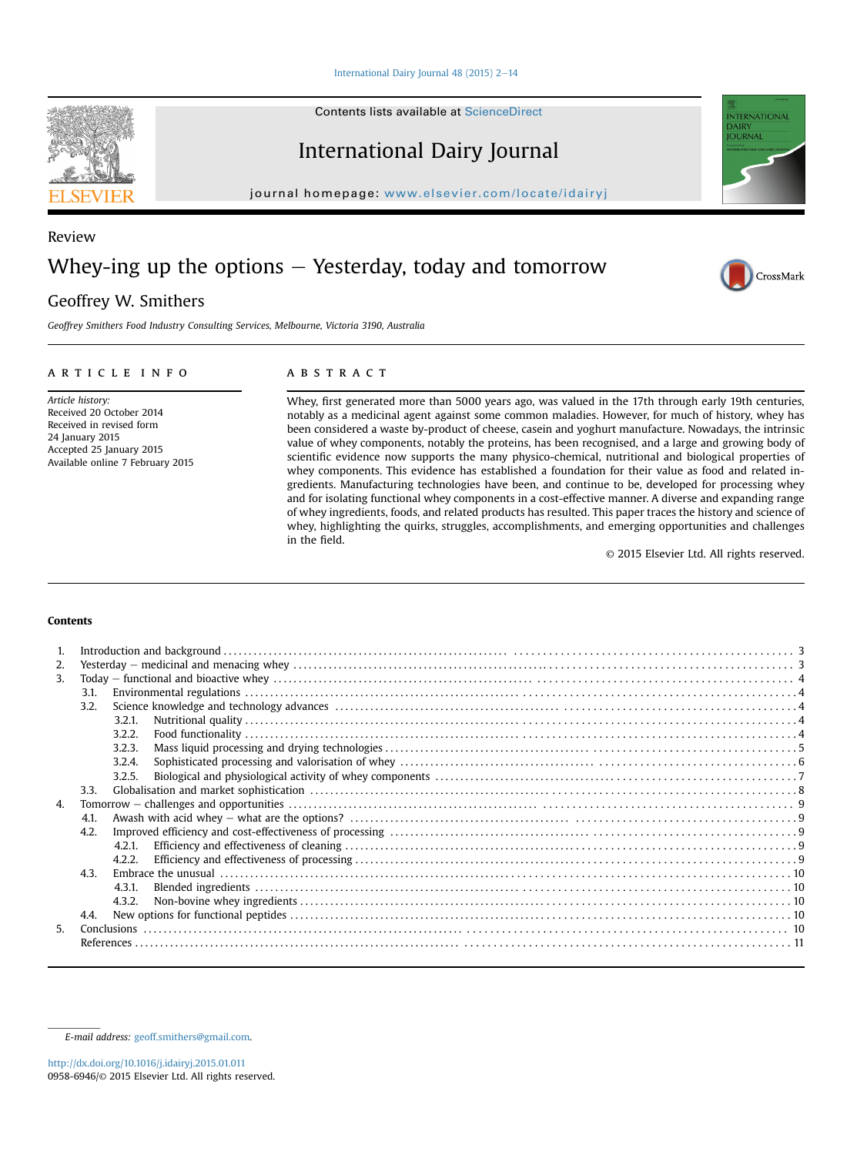# International Dairy Journal  $48$  (2015) 2-[14](http://dx.doi.org/10.1016/j.idairyj.2015.01.011)

Contents lists available at [ScienceDirect](www.sciencedirect.com/science/journal/09586946)

International Dairy Journal

journal homepage: [www.elsevier.com/locate/idairyj](http://www.elsevier.com/locate/idairyj)

# Whey-ing up the options  $-$  Yesterday, today and tomorrow

# Geoffrey W. Smithers

Geoffrey Smithers Food Industry Consulting Services, Melbourne, Victoria 3190, Australia

## article info

Article history: Received 20 October 2014 Received in revised form 24 January 2015 Accepted 25 January 2015 Available online 7 February 2015

## **ABSTRACT**

Whey, first generated more than 5000 years ago, was valued in the 17th through early 19th centuries, notably as a medicinal agent against some common maladies. However, for much of history, whey has been considered a waste by-product of cheese, casein and yoghurt manufacture. Nowadays, the intrinsic value of whey components, notably the proteins, has been recognised, and a large and growing body of scientific evidence now supports the many physico-chemical, nutritional and biological properties of whey components. This evidence has established a foundation for their value as food and related ingredients. Manufacturing technologies have been, and continue to be, developed for processing whey and for isolating functional whey components in a cost-effective manner. A diverse and expanding range of whey ingredients, foods, and related products has resulted. This paper traces the history and science of whey, highlighting the quirks, struggles, accomplishments, and emerging opportunities and challenges in the field.

© 2015 Elsevier Ltd. All rights reserved.

# Contents

| $\mathbf{1}$ .   |      |        |  |  |
|------------------|------|--------|--|--|
| 2.               |      |        |  |  |
| 3.               |      |        |  |  |
|                  | 3.1. |        |  |  |
|                  | 3.2. |        |  |  |
|                  |      | 3.2.1. |  |  |
|                  |      | 3.2.2. |  |  |
|                  |      | 3.2.3. |  |  |
|                  |      | 3.2.4. |  |  |
|                  |      | 3.2.5. |  |  |
|                  | 3.3. |        |  |  |
| $\overline{4}$ . |      |        |  |  |
|                  | 4.1. |        |  |  |
|                  | 4.2. |        |  |  |
|                  |      | 4.2.1. |  |  |
|                  |      | 4.2.2. |  |  |
|                  | 4.3. |        |  |  |
|                  |      | 4.3.1. |  |  |
|                  |      | 4.3.2. |  |  |
|                  | 4.4. |        |  |  |
| 5.               |      |        |  |  |
|                  |      |        |  |  |



Review





E-mail address: [geoff.smithers@gmail.com.](mailto:geoff.smithers@gmail.com)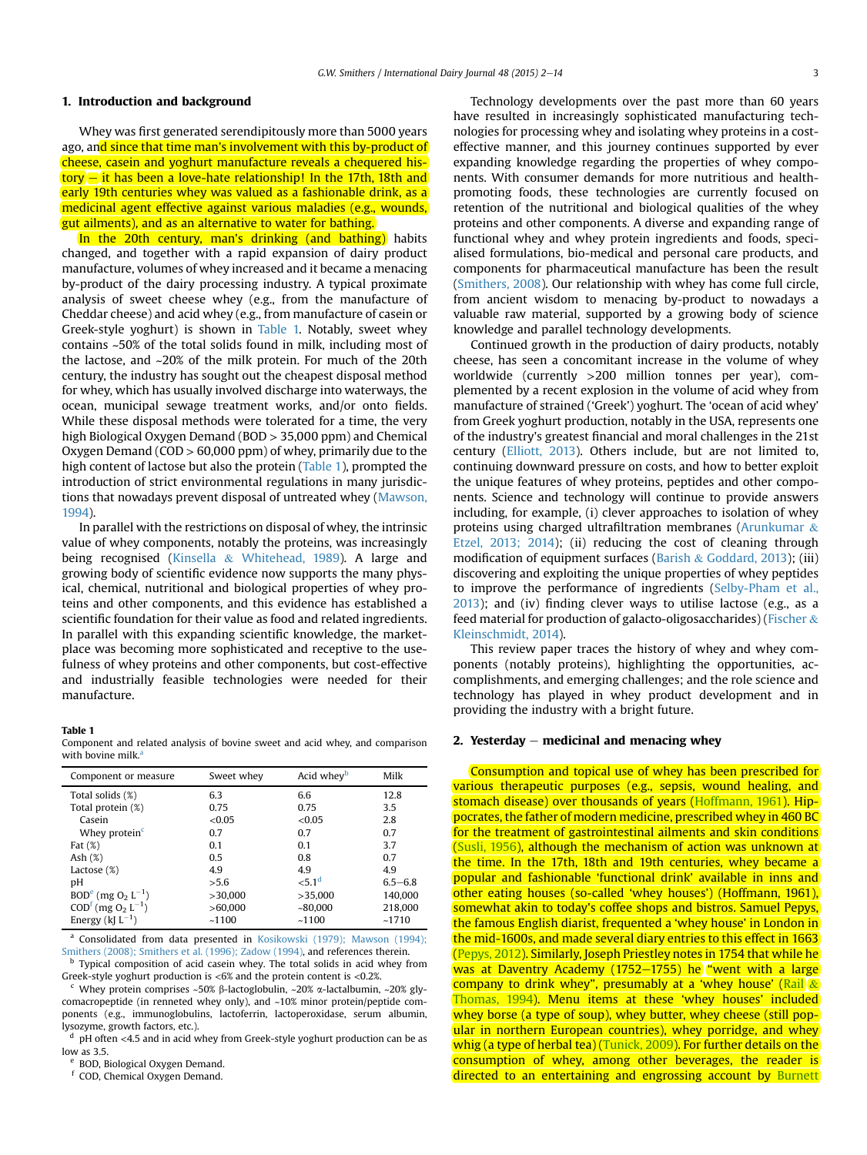## <span id="page-1-0"></span>1. Introduction and background

Whey was first generated serendipitously more than 5000 years ago, and since that time man's involvement with this by-product of cheese, casein and yoghurt manufacture reveals a chequered his $t$ ory  $\overline{=}$  it has been a love-hate relationship! In the 17th, 18th and early 19th centuries whey was valued as a fashionable drink, as a medicinal agent effective against various maladies (e.g., wounds, gut ailments), and as an alternative to water for bathing.

In the 20th century, man's drinking (and bathing) habits changed, and together with a rapid expansion of dairy product manufacture, volumes of whey increased and it became a menacing by-product of the dairy processing industry. A typical proximate analysis of sweet cheese whey (e.g., from the manufacture of Cheddar cheese) and acid whey (e.g., from manufacture of casein or Greek-style yoghurt) is shown in Table 1. Notably, sweet whey contains ~50% of the total solids found in milk, including most of the lactose, and ~20% of the milk protein. For much of the 20th century, the industry has sought out the cheapest disposal method for whey, which has usually involved discharge into waterways, the ocean, municipal sewage treatment works, and/or onto fields. While these disposal methods were tolerated for a time, the very high Biological Oxygen Demand (BOD > 35,000 ppm) and Chemical Oxygen Demand (COD > 60,000 ppm) of whey, primarily due to the high content of lactose but also the protein (Table 1), prompted the introduction of strict environmental regulations in many jurisdictions that nowadays prevent disposal of untreated whey ([Mawson,](#page-10-0) [1994\)](#page-10-0).

In parallel with the restrictions on disposal of whey, the intrinsic value of whey components, notably the proteins, was increasingly being recognised ([Kinsella](#page-10-0) & [Whitehead, 1989](#page-10-0)). A large and growing body of scientific evidence now supports the many physical, chemical, nutritional and biological properties of whey proteins and other components, and this evidence has established a scientific foundation for their value as food and related ingredients. In parallel with this expanding scientific knowledge, the marketplace was becoming more sophisticated and receptive to the usefulness of whey proteins and other components, but cost-effective and industrially feasible technologies were needed for their manufacture.

#### Table 1

Component and related analysis of bovine sweet and acid whey, and comparison with bovine milk.

| Component or measure                                  | Sweet whey | Acid whev <sup>b</sup> | Milk        |
|-------------------------------------------------------|------------|------------------------|-------------|
| Total solids (%)                                      | 6.3        | 6.6                    | 12.8        |
| Total protein (%)                                     | 0.75       | 0.75                   | 3.5         |
| Casein                                                | <0.05      | <0.05                  | 2.8         |
| Whey protein $c$                                      | 0.7        | 0.7                    | 0.7         |
| Fat $(\%)$                                            | 0.1        | 0.1                    | 3.7         |
| Ash $(\%)$                                            | 0.5        | 0.8                    | 0.7         |
| Lactose $(\%)$                                        | 4.9        | 4.9                    | 4.9         |
| рH                                                    | >5.6       | < 5.1 <sup>d</sup>     | $6.5 - 6.8$ |
| BOD <sup>e</sup> (mg O <sub>2</sub> L <sup>-1</sup> ) | >30,000    | >35,000                | 140,000     |
| $COD^{f}$ (mg $O_2 L^{-1}$ )                          | >60,000    | ~10000                 | 218,000     |
| Energy $(kL^{-1})$                                    | ~1100      | ~1100                  | ~1710       |

<sup>a</sup> Consolidated from data presented in [Kosikowski \(1979\); Mawson \(1994\);](#page-10-0) [Smithers \(2008\); Smithers et al. \(1996\); Zadow \(1994\)](#page-10-0), and references therein.

Typical composition of acid casein whey. The total solids in acid whey from Greek-style yoghurt production is <6% and the protein content is <0.2%.

Whey protein comprises ~50%  $\beta$ -lactoglobulin, ~20%  $\alpha$ -lactalbumin, ~20% glycomacropeptide (in renneted whey only), and ~10% minor protein/peptide components (e.g., immunoglobulins, lactoferrin, lactoperoxidase, serum albumin, lysozyme, growth factors, etc.).

pH often <4.5 and in acid whey from Greek-style yoghurt production can be as low as 3.5.

BOD, Biological Oxygen Demand.

COD, Chemical Oxygen Demand.

Technology developments over the past more than 60 years have resulted in increasingly sophisticated manufacturing technologies for processing whey and isolating whey proteins in a costeffective manner, and this journey continues supported by ever expanding knowledge regarding the properties of whey components. With consumer demands for more nutritious and healthpromoting foods, these technologies are currently focused on retention of the nutritional and biological qualities of the whey proteins and other components. A diverse and expanding range of functional whey and whey protein ingredients and foods, specialised formulations, bio-medical and personal care products, and components for pharmaceutical manufacture has been the result ([Smithers, 2008\)](#page-11-0). Our relationship with whey has come full circle, from ancient wisdom to menacing by-product to nowadays a valuable raw material, supported by a growing body of science knowledge and parallel technology developments.

Continued growth in the production of dairy products, notably cheese, has seen a concomitant increase in the volume of whey worldwide (currently >200 million tonnes per year), complemented by a recent explosion in the volume of acid whey from manufacture of strained ('Greek') yoghurt. The 'ocean of acid whey' from Greek yoghurt production, notably in the USA, represents one of the industry's greatest financial and moral challenges in the 21st century [\(Elliott, 2013\)](#page-9-0). Others include, but are not limited to, continuing downward pressure on costs, and how to better exploit the unique features of whey proteins, peptides and other components. Science and technology will continue to provide answers including, for example, (i) clever approaches to isolation of whey proteins using charged ultrafiltration membranes [\(Arunkumar](#page-9-0) & [Etzel, 2013; 2014](#page-9-0)); (ii) reducing the cost of cleaning through modification of equipment surfaces [\(Barish](#page-9-0) & [Goddard, 2013](#page-9-0)); (iii) discovering and exploiting the unique properties of whey peptides to improve the performance of ingredients ([Selby-Pham et al.,](#page-11-0) [2013\)](#page-11-0); and (iv) finding clever ways to utilise lactose (e.g., as a feed material for production of galacto-oligosaccharides) ([Fischer](#page-9-0)  $\&$ [Kleinschmidt, 2014\)](#page-9-0).

This review paper traces the history of whey and whey components (notably proteins), highlighting the opportunities, accomplishments, and emerging challenges; and the role science and technology has played in whey product development and in providing the industry with a bright future.

#### 2. Yesterday  $-$  medicinal and menacing whey

Consumption and topical use of whey has been prescribed for various therapeutic purposes (e.g., sepsis, wound healing, and stomach disease) over thousands of years [\(Hoffmann, 1961\)](#page-10-0). Hippocrates, the father of modern medicine, prescribed whey in 460 BC for the treatment of gastrointestinal ailments and skin conditions ([Susli, 1956](#page-11-0)), although the mechanism of action was unknown at the time. In the 17th, 18th and 19th centuries, whey became a popular and fashionable 'functional drink' available in inns and other eating houses (so-called 'whey houses') (Hoffmann, 1961), somewhat akin to today's coffee shops and bistros. Samuel Pepys, the famous English diarist, frequented a 'whey house' in London in the mid-1600s, and made several diary entries to this effect in 1663 ([Pepys, 2012](#page-11-0)). Similarly, Joseph Priestley notes in 1754 that while he was at Daventry Academy (1752–1755) he "went with a large company to drink whey", presumably at a 'whey house' [\(Rail](#page-11-0)  $\&$ [Thomas, 1994](#page-11-0)). Menu items at these 'whey houses' included whey borse (a type of soup), whey butter, whey cheese (still popular in northern European countries), whey porridge, and whey whig (a type of herbal tea) ([Tunick, 2009\)](#page-11-0). For further details on the consumption of whey, among other beverages, the reader is directed to an entertaining and engrossing account by [Burnett](#page-9-0)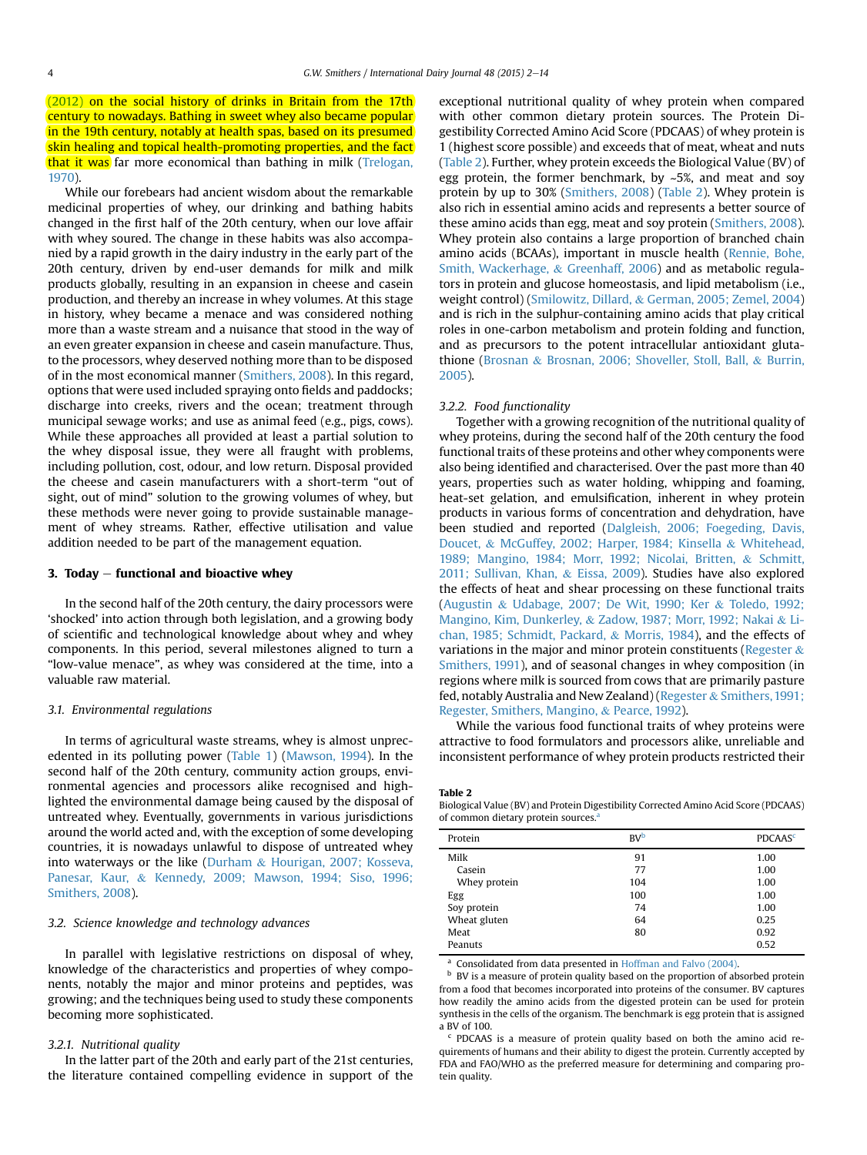[\(2012\)](#page-9-0) on the social history of drinks in Britain from the 17th century to nowadays. Bathing in sweet whey also became popular in the 19th century, notably at health spas, based on its presumed skin healing and topical health-promoting properties, and the fact that it was far more economical than bathing in milk [\(Trelogan,](#page-11-0) [1970](#page-11-0)).

While our forebears had ancient wisdom about the remarkable medicinal properties of whey, our drinking and bathing habits changed in the first half of the 20th century, when our love affair with whey soured. The change in these habits was also accompanied by a rapid growth in the dairy industry in the early part of the 20th century, driven by end-user demands for milk and milk products globally, resulting in an expansion in cheese and casein production, and thereby an increase in whey volumes. At this stage in history, whey became a menace and was considered nothing more than a waste stream and a nuisance that stood in the way of an even greater expansion in cheese and casein manufacture. Thus, to the processors, whey deserved nothing more than to be disposed of in the most economical manner [\(Smithers, 2008](#page-11-0)). In this regard, options that were used included spraying onto fields and paddocks; discharge into creeks, rivers and the ocean; treatment through municipal sewage works; and use as animal feed (e.g., pigs, cows). While these approaches all provided at least a partial solution to the whey disposal issue, they were all fraught with problems, including pollution, cost, odour, and low return. Disposal provided the cheese and casein manufacturers with a short-term "out of sight, out of mind" solution to the growing volumes of whey, but these methods were never going to provide sustainable management of whey streams. Rather, effective utilisation and value addition needed to be part of the management equation.

# 3. Today  $-$  functional and bioactive whey

In the second half of the 20th century, the dairy processors were 'shocked' into action through both legislation, and a growing body of scientific and technological knowledge about whey and whey components. In this period, several milestones aligned to turn a "low-value menace", as whey was considered at the time, into a valuable raw material.

#### 3.1. Environmental regulations

In terms of agricultural waste streams, whey is almost unprecedented in its polluting power [\(Table 1](#page-1-0)) ([Mawson, 1994](#page-10-0)). In the second half of the 20th century, community action groups, environmental agencies and processors alike recognised and highlighted the environmental damage being caused by the disposal of untreated whey. Eventually, governments in various jurisdictions around the world acted and, with the exception of some developing countries, it is nowadays unlawful to dispose of untreated whey into waterways or the like [\(Durham](#page-9-0) & [Hourigan, 2007; Kosseva,](#page-9-0) [Panesar, Kaur,](#page-9-0) & [Kennedy, 2009; Mawson, 1994; Siso, 1996;](#page-9-0) [Smithers, 2008](#page-9-0)).

#### 3.2. Science knowledge and technology advances

In parallel with legislative restrictions on disposal of whey, knowledge of the characteristics and properties of whey components, notably the major and minor proteins and peptides, was growing; and the techniques being used to study these components becoming more sophisticated.

#### 3.2.1. Nutritional quality

In the latter part of the 20th and early part of the 21st centuries, the literature contained compelling evidence in support of the exceptional nutritional quality of whey protein when compared with other common dietary protein sources. The Protein Digestibility Corrected Amino Acid Score (PDCAAS) of whey protein is 1 (highest score possible) and exceeds that of meat, wheat and nuts (Table 2). Further, whey protein exceeds the Biological Value (BV) of egg protein, the former benchmark, by  $\sim$  5%, and meat and soy protein by up to 30% ([Smithers, 2008](#page-11-0)) (Table 2). Whey protein is also rich in essential amino acids and represents a better source of these amino acids than egg, meat and soy protein [\(Smithers, 2008\)](#page-11-0). Whey protein also contains a large proportion of branched chain amino acids (BCAAs), important in muscle health ([Rennie, Bohe,](#page-11-0) [Smith, Wackerhage,](#page-11-0) & [Greenhaff, 2006](#page-11-0)) and as metabolic regulators in protein and glucose homeostasis, and lipid metabolism (i.e., weight control) [\(Smilowitz, Dillard,](#page-11-0) & [German, 2005; Zemel, 2004\)](#page-11-0) and is rich in the sulphur-containing amino acids that play critical roles in one-carbon metabolism and protein folding and function, and as precursors to the potent intracellular antioxidant glutathione [\(Brosnan](#page-9-0) & [Brosnan, 2006; Shoveller, Stoll, Ball,](#page-9-0) & [Burrin,](#page-9-0) [2005](#page-9-0)).

#### 3.2.2. Food functionality

Together with a growing recognition of the nutritional quality of whey proteins, during the second half of the 20th century the food functional traits of these proteins and other whey components were also being identified and characterised. Over the past more than 40 years, properties such as water holding, whipping and foaming, heat-set gelation, and emulsification, inherent in whey protein products in various forms of concentration and dehydration, have been studied and reported [\(Dalgleish, 2006; Foegeding, Davis,](#page-9-0) [Doucet,](#page-9-0) & [McGuffey, 2002; Harper, 1984; Kinsella](#page-9-0) & [Whitehead,](#page-9-0) [1989; Mangino, 1984; Morr, 1992; Nicolai, Britten,](#page-9-0) & [Schmitt,](#page-9-0) [2011; Sullivan, Khan,](#page-9-0) & [Eissa, 2009](#page-9-0)). Studies have also explored the effects of heat and shear processing on these functional traits ([Augustin](#page-9-0) & [Udabage, 2007; De Wit, 1990; Ker](#page-9-0) & [Toledo, 1992;](#page-9-0) [Mangino, Kim, Dunkerley,](#page-9-0) & [Zadow, 1987; Morr, 1992; Nakai](#page-9-0) & [Li](#page-9-0)[chan, 1985; Schmidt, Packard,](#page-9-0) & [Morris, 1984](#page-9-0)), and the effects of variations in the major and minor protein constituents [\(Regester](#page-11-0)  $\&$ [Smithers, 1991\)](#page-11-0), and of seasonal changes in whey composition (in regions where milk is sourced from cows that are primarily pasture fed, notably Australia and New Zealand) ([Regester](#page-11-0) & [Smithers,1991;](#page-11-0) [Regester, Smithers, Mangino,](#page-11-0) & [Pearce, 1992](#page-11-0)).

While the various food functional traits of whey proteins were attractive to food formulators and processors alike, unreliable and inconsistent performance of whey protein products restricted their

#### Table 2

Biological Value (BV) and Protein Digestibility Corrected Amino Acid Score (PDCAAS) of common dietary protein sources.<sup>a</sup>

| Protein      | <b>BV</b> b | <b>PDCAAS<sup>c</sup></b> |
|--------------|-------------|---------------------------|
| Milk         | 91          | 1.00                      |
| Casein       | 77          | 1.00                      |
| Whey protein | 104         | 1.00                      |
| Egg          | 100         | 1.00                      |
| Soy protein  | 74          | 1.00                      |
| Wheat gluten | 64          | 0.25                      |
| Meat         | 80          | 0.92                      |
| Peanuts      |             | 0.52                      |

<sup>a</sup> Consolidated from data presented in [Hoffman and Falvo \(2004\).](#page-10-0)

**b** BV is a measure of protein quality based on the proportion of absorbed protein from a food that becomes incorporated into proteins of the consumer. BV captures how readily the amino acids from the digested protein can be used for protein synthesis in the cells of the organism. The benchmark is egg protein that is assigned a BV of 100.

PDCAAS is a measure of protein quality based on both the amino acid requirements of humans and their ability to digest the protein. Currently accepted by FDA and FAO/WHO as the preferred measure for determining and comparing protein quality.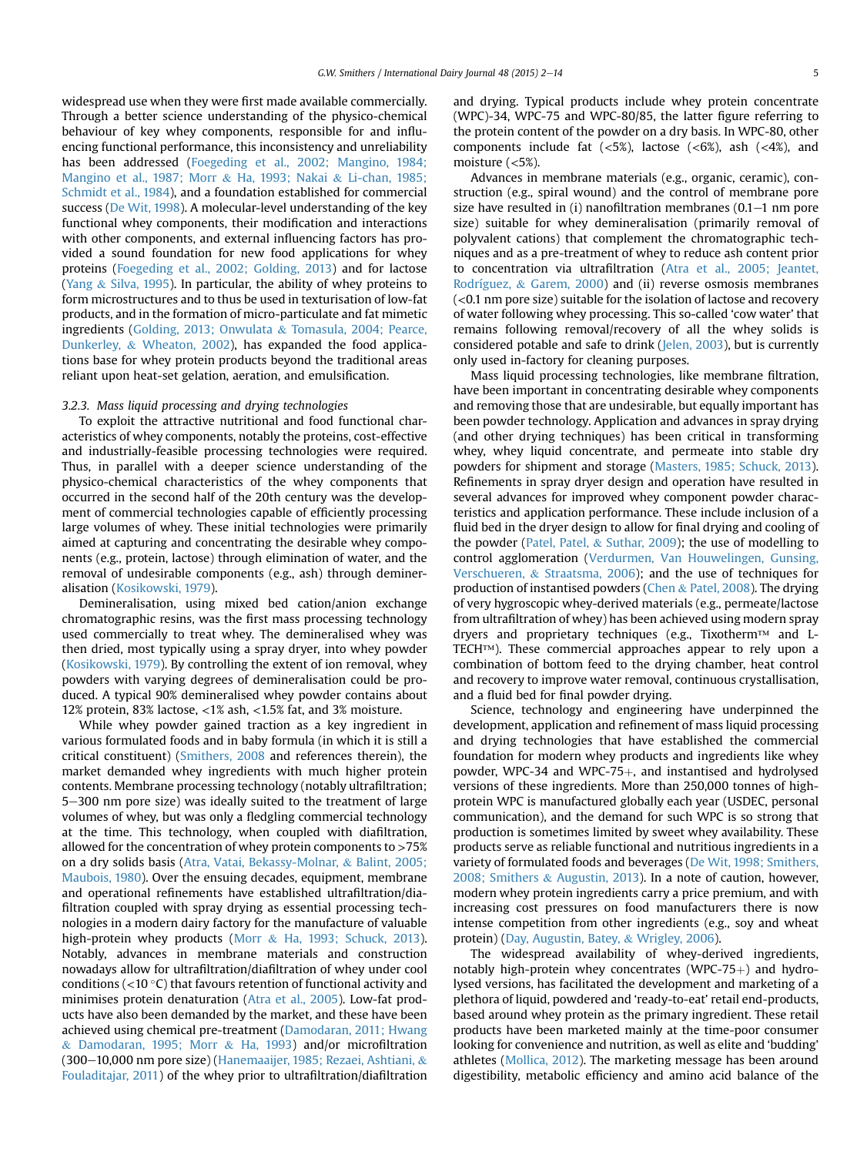widespread use when they were first made available commercially. Through a better science understanding of the physico-chemical behaviour of key whey components, responsible for and influencing functional performance, this inconsistency and unreliability has been addressed [\(Foegeding et al., 2002; Mangino, 1984;](#page-10-0) [Mangino et al., 1987; Morr](#page-10-0) & [Ha, 1993; Nakai](#page-10-0) & [Li-chan, 1985;](#page-10-0) [Schmidt et al., 1984\)](#page-10-0), and a foundation established for commercial success ([De Wit, 1998\)](#page-9-0). A molecular-level understanding of the key functional whey components, their modification and interactions with other components, and external influencing factors has provided a sound foundation for new food applications for whey proteins ([Foegeding et al., 2002; Golding, 2013](#page-10-0)) and for lactose ([Yang](#page-12-0) & [Silva, 1995](#page-12-0)). In particular, the ability of whey proteins to form microstructures and to thus be used in texturisation of low-fat products, and in the formation of micro-particulate and fat mimetic ingredients ([Golding, 2013; Onwulata](#page-10-0) & [Tomasula, 2004; Pearce,](#page-10-0) [Dunkerley,](#page-10-0) & [Wheaton, 2002](#page-10-0)), has expanded the food applications base for whey protein products beyond the traditional areas reliant upon heat-set gelation, aeration, and emulsification.

#### 3.2.3. Mass liquid processing and drying technologies

To exploit the attractive nutritional and food functional characteristics of whey components, notably the proteins, cost-effective and industrially-feasible processing technologies were required. Thus, in parallel with a deeper science understanding of the physico-chemical characteristics of the whey components that occurred in the second half of the 20th century was the development of commercial technologies capable of efficiently processing large volumes of whey. These initial technologies were primarily aimed at capturing and concentrating the desirable whey components (e.g., protein, lactose) through elimination of water, and the removal of undesirable components (e.g., ash) through demineralisation [\(Kosikowski, 1979\)](#page-10-0).

Demineralisation, using mixed bed cation/anion exchange chromatographic resins, was the first mass processing technology used commercially to treat whey. The demineralised whey was then dried, most typically using a spray dryer, into whey powder ([Kosikowski, 1979](#page-10-0)). By controlling the extent of ion removal, whey powders with varying degrees of demineralisation could be produced. A typical 90% demineralised whey powder contains about 12% protein, 83% lactose, <1% ash, <1.5% fat, and 3% moisture.

While whey powder gained traction as a key ingredient in various formulated foods and in baby formula (in which it is still a critical constituent) ([Smithers, 2008](#page-11-0) and references therein), the market demanded whey ingredients with much higher protein contents. Membrane processing technology (notably ultrafiltration; 5-300 nm pore size) was ideally suited to the treatment of large volumes of whey, but was only a fledgling commercial technology at the time. This technology, when coupled with diafiltration, allowed for the concentration of whey protein components to >75% on a dry solids basis [\(Atra, Vatai, Bekassy-Molnar,](#page-9-0) & [Balint, 2005;](#page-9-0) [Maubois, 1980](#page-9-0)). Over the ensuing decades, equipment, membrane and operational refinements have established ultrafiltration/diafiltration coupled with spray drying as essential processing technologies in a modern dairy factory for the manufacture of valuable high-protein whey products ([Morr](#page-10-0) & [Ha, 1993; Schuck, 2013\)](#page-10-0). Notably, advances in membrane materials and construction nowadays allow for ultrafiltration/diafiltration of whey under cool conditions ( $<$ 10 °C) that favours retention of functional activity and minimises protein denaturation [\(Atra et al., 2005](#page-9-0)). Low-fat products have also been demanded by the market, and these have been achieved using chemical pre-treatment ([Damodaran, 2011; Hwang](#page-9-0) & [Damodaran, 1995; Morr](#page-9-0) & [Ha, 1993\)](#page-9-0) and/or microfiltration (300–10,000 nm pore size) ([Hanemaaijer, 1985; Rezaei, Ashtiani,](#page-10-0)  $\&$ [Fouladitajar, 2011](#page-10-0)) of the whey prior to ultrafiltration/diafiltration and drying. Typical products include whey protein concentrate (WPC)-34, WPC-75 and WPC-80/85, the latter figure referring to the protein content of the powder on a dry basis. In WPC-80, other components include fat  $\left( <5\% \right)$ , lactose  $\left( <6\% \right)$ , ash  $\left( <4\% \right)$ , and moisture (<5%).

Advances in membrane materials (e.g., organic, ceramic), construction (e.g., spiral wound) and the control of membrane pore size have resulted in (i) nanofiltration membranes  $(0.1-1 \text{ nm})$ size) suitable for whey demineralisation (primarily removal of polyvalent cations) that complement the chromatographic techniques and as a pre-treatment of whey to reduce ash content prior to concentration via ultrafiltration ([Atra et al., 2005; Jeantet,](#page-9-0) [Rodríguez,](#page-9-0) & [Garem, 2000\)](#page-9-0) and (ii) reverse osmosis membranes  $\left($  <0.1 nm pore size) suitable for the isolation of lactose and recovery of water following whey processing. This so-called 'cow water' that remains following removal/recovery of all the whey solids is considered potable and safe to drink [\(Jelen, 2003](#page-10-0)), but is currently only used in-factory for cleaning purposes.

Mass liquid processing technologies, like membrane filtration, have been important in concentrating desirable whey components and removing those that are undesirable, but equally important has been powder technology. Application and advances in spray drying (and other drying techniques) has been critical in transforming whey, whey liquid concentrate, and permeate into stable dry powders for shipment and storage ([Masters, 1985; Schuck, 2013\)](#page-10-0). Refinements in spray dryer design and operation have resulted in several advances for improved whey component powder characteristics and application performance. These include inclusion of a fluid bed in the dryer design to allow for final drying and cooling of the powder [\(Patel, Patel,](#page-11-0)  $&$  [Suthar, 2009\)](#page-11-0); the use of modelling to control agglomeration ([Verdurmen, Van Houwelingen, Gunsing,](#page-11-0) [Verschueren,](#page-11-0) & [Straatsma, 2006\)](#page-11-0); and the use of techniques for production of instantised powders ([Chen](#page-9-0) & [Patel, 2008\)](#page-9-0). The drying of very hygroscopic whey-derived materials (e.g., permeate/lactose from ultrafiltration of whey) has been achieved using modern spray dryers and proprietary techniques (e.g., Tixotherm™ and L-TECH™). These commercial approaches appear to rely upon a combination of bottom feed to the drying chamber, heat control and recovery to improve water removal, continuous crystallisation, and a fluid bed for final powder drying.

Science, technology and engineering have underpinned the development, application and refinement of mass liquid processing and drying technologies that have established the commercial foundation for modern whey products and ingredients like whey powder, WPC-34 and WPC-75 $+$ , and instantised and hydrolysed versions of these ingredients. More than 250,000 tonnes of highprotein WPC is manufactured globally each year (USDEC, personal communication), and the demand for such WPC is so strong that production is sometimes limited by sweet whey availability. These products serve as reliable functional and nutritious ingredients in a variety of formulated foods and beverages [\(De Wit, 1998; Smithers,](#page-9-0) [2008; Smithers](#page-9-0) & [Augustin, 2013](#page-9-0)). In a note of caution, however, modern whey protein ingredients carry a price premium, and with increasing cost pressures on food manufacturers there is now intense competition from other ingredients (e.g., soy and wheat protein) [\(Day, Augustin, Batey,](#page-9-0) & [Wrigley, 2006\)](#page-9-0).

The widespread availability of whey-derived ingredients, notably high-protein whey concentrates (WPC-75 $+$ ) and hydrolysed versions, has facilitated the development and marketing of a plethora of liquid, powdered and 'ready-to-eat' retail end-products, based around whey protein as the primary ingredient. These retail products have been marketed mainly at the time-poor consumer looking for convenience and nutrition, as well as elite and 'budding' athletes [\(Mollica, 2012\)](#page-10-0). The marketing message has been around digestibility, metabolic efficiency and amino acid balance of the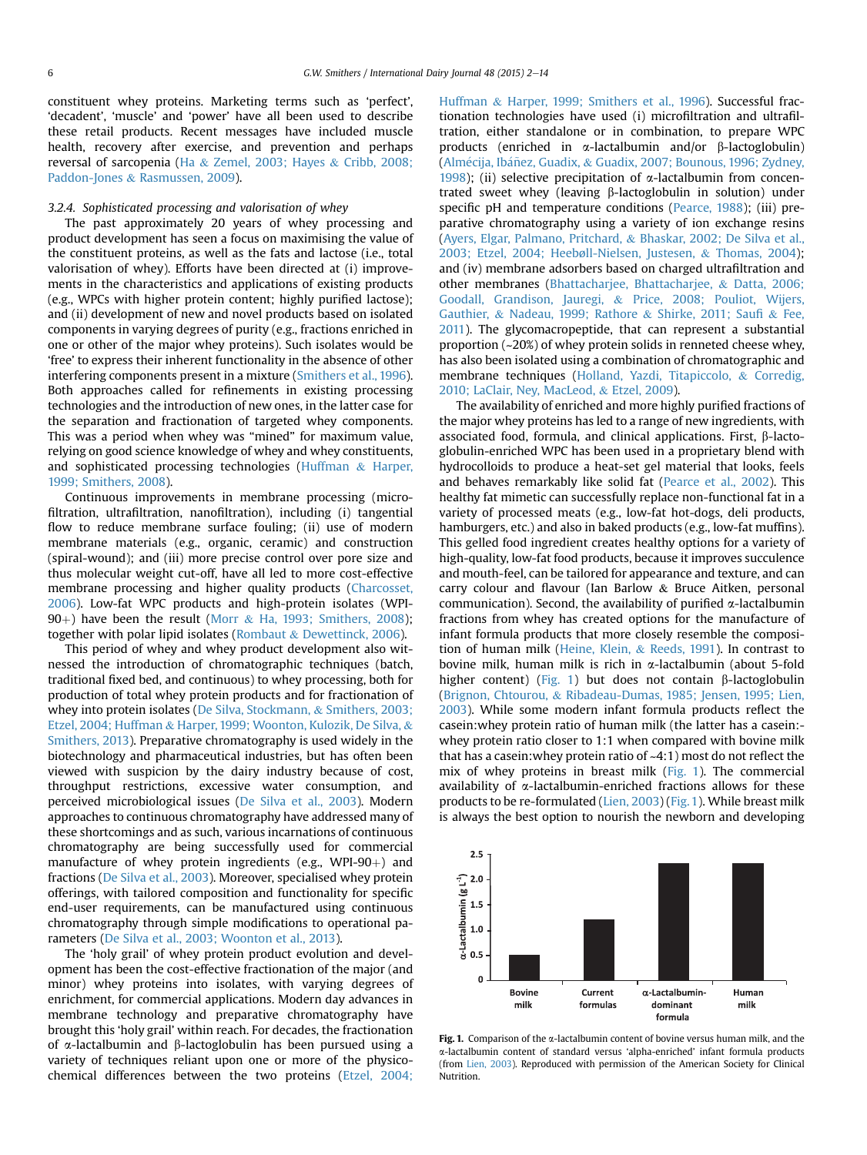constituent whey proteins. Marketing terms such as 'perfect', 'decadent', 'muscle' and 'power' have all been used to describe these retail products. Recent messages have included muscle health, recovery after exercise, and prevention and perhaps reversal of sarcopenia ([Ha](#page-10-0) & [Zemel, 2003; Hayes](#page-10-0) & [Cribb, 2008;](#page-10-0) [Paddon-Jones](#page-10-0) & [Rasmussen, 2009\)](#page-10-0).

#### 3.2.4. Sophisticated processing and valorisation of whey

The past approximately 20 years of whey processing and product development has seen a focus on maximising the value of the constituent proteins, as well as the fats and lactose (i.e., total valorisation of whey). Efforts have been directed at (i) improvements in the characteristics and applications of existing products (e.g., WPCs with higher protein content; highly purified lactose); and (ii) development of new and novel products based on isolated components in varying degrees of purity (e.g., fractions enriched in one or other of the major whey proteins). Such isolates would be 'free' to express their inherent functionality in the absence of other interfering components present in a mixture [\(Smithers et al., 1996\)](#page-11-0). Both approaches called for refinements in existing processing technologies and the introduction of new ones, in the latter case for the separation and fractionation of targeted whey components. This was a period when whey was "mined" for maximum value, relying on good science knowledge of whey and whey constituents, and sophisticated processing technologies ([Huffman](#page-10-0) & [Harper,](#page-10-0) [1999; Smithers, 2008\)](#page-10-0).

Continuous improvements in membrane processing (microfiltration, ultrafiltration, nanofiltration), including (i) tangential flow to reduce membrane surface fouling; (ii) use of modern membrane materials (e.g., organic, ceramic) and construction (spiral-wound); and (iii) more precise control over pore size and thus molecular weight cut-off, have all led to more cost-effective membrane processing and higher quality products [\(Charcosset,](#page-9-0) [2006](#page-9-0)). Low-fat WPC products and high-protein isolates (WPI-90+) have been the result ([Morr](#page-10-0) & [Ha, 1993; Smithers, 2008](#page-10-0)); together with polar lipid isolates ([Rombaut](#page-11-0) & [Dewettinck, 2006\)](#page-11-0).

This period of whey and whey product development also witnessed the introduction of chromatographic techniques (batch, traditional fixed bed, and continuous) to whey processing, both for production of total whey protein products and for fractionation of whey into protein isolates ([De Silva, Stockmann,](#page-9-0) & [Smithers, 2003;](#page-9-0) [Etzel, 2004; Huffman](#page-9-0) & [Harper, 1999; Woonton, Kulozik, De Silva,](#page-9-0) & [Smithers, 2013\)](#page-9-0). Preparative chromatography is used widely in the biotechnology and pharmaceutical industries, but has often been viewed with suspicion by the dairy industry because of cost, throughput restrictions, excessive water consumption, and perceived microbiological issues ([De Silva et al., 2003](#page-9-0)). Modern approaches to continuous chromatography have addressed many of these shortcomings and as such, various incarnations of continuous chromatography are being successfully used for commercial manufacture of whey protein ingredients (e.g., WPI-90+) and fractions ([De Silva et al., 2003\)](#page-9-0). Moreover, specialised whey protein offerings, with tailored composition and functionality for specific end-user requirements, can be manufactured using continuous chromatography through simple modifications to operational parameters ([De Silva et al., 2003; Woonton et al., 2013\)](#page-9-0).

The 'holy grail' of whey protein product evolution and development has been the cost-effective fractionation of the major (and minor) whey proteins into isolates, with varying degrees of enrichment, for commercial applications. Modern day advances in membrane technology and preparative chromatography have brought this 'holy grail' within reach. For decades, the fractionation of  $\alpha$ -lactalbumin and  $\beta$ -lactoglobulin has been pursued using a variety of techniques reliant upon one or more of the physicochemical differences between the two proteins ([Etzel, 2004;](#page-9-0) [Huffman](#page-9-0) & [Harper, 1999; Smithers et al., 1996\)](#page-9-0). Successful fractionation technologies have used (i) microfiltration and ultrafiltration, either standalone or in combination, to prepare WPC products (enriched in  $\alpha$ -lactalbumin and/or  $\beta$ -lactoglobulin) ([Alm](#page-9-0)é[cija, Ib](#page-9-0)áñ[ez, Guadix,](#page-9-0) & [Guadix, 2007; Bounous, 1996; Zydney,](#page-9-0) [1998](#page-9-0)); (ii) selective precipitation of  $\alpha$ -lactalbumin from concentrated sweet whey (leaving  $\beta$ -lactoglobulin in solution) under specific pH and temperature conditions ([Pearce, 1988\)](#page-11-0); (iii) preparative chromatography using a variety of ion exchange resins ([Ayers, Elgar, Palmano, Pritchard,](#page-9-0) & [Bhaskar, 2002; De Silva et al.,](#page-9-0) [2003; Etzel, 2004; Heebøll-Nielsen, Justesen,](#page-9-0) & [Thomas, 2004](#page-9-0)); and (iv) membrane adsorbers based on charged ultrafiltration and other membranes ([Bhattacharjee, Bhattacharjee,](#page-9-0) & [Datta, 2006;](#page-9-0) [Goodall, Grandison, Jauregi,](#page-9-0) & [Price, 2008; Pouliot, Wijers,](#page-9-0) [Gauthier,](#page-9-0) & [Nadeau, 1999; Rathore](#page-9-0) & [Shirke, 2011; Sau](#page-9-0)fi & [Fee,](#page-9-0) [2011\)](#page-9-0). The glycomacropeptide, that can represent a substantial proportion (~20%) of whey protein solids in renneted cheese whey, has also been isolated using a combination of chromatographic and membrane techniques ([Holland, Yazdi, Titapiccolo,](#page-10-0) & [Corredig,](#page-10-0) [2010; LaClair, Ney, MacLeod,](#page-10-0) & [Etzel, 2009\)](#page-10-0).

The availability of enriched and more highly purified fractions of the major whey proteins has led to a range of new ingredients, with associated food, formula, and clinical applications. First,  $\beta$ -lactoglobulin-enriched WPC has been used in a proprietary blend with hydrocolloids to produce a heat-set gel material that looks, feels and behaves remarkably like solid fat ([Pearce et al., 2002\)](#page-11-0). This healthy fat mimetic can successfully replace non-functional fat in a variety of processed meats (e.g., low-fat hot-dogs, deli products, hamburgers, etc.) and also in baked products (e.g., low-fat muffins). This gelled food ingredient creates healthy options for a variety of high-quality, low-fat food products, because it improves succulence and mouth-feel, can be tailored for appearance and texture, and can carry colour and flavour (Ian Barlow & Bruce Aitken, personal communication). Second, the availability of purified a-lactalbumin fractions from whey has created options for the manufacture of infant formula products that more closely resemble the composition of human milk ([Heine, Klein,](#page-10-0) & [Reeds, 1991\)](#page-10-0). In contrast to bovine milk, human milk is rich in  $\alpha$ -lactalbumin (about 5-fold higher content) (Fig. 1) but does not contain  $\beta$ -lactoglobulin ([Brignon, Chtourou,](#page-9-0) & [Ribadeau-Dumas, 1985; Jensen, 1995; Lien,](#page-9-0) [2003](#page-9-0)). While some modern infant formula products reflect the casein:whey protein ratio of human milk (the latter has a casein: whey protein ratio closer to 1:1 when compared with bovine milk that has a casein:whey protein ratio of ~4:1) most do not reflect the mix of whey proteins in breast milk (Fig. 1). The commercial availability of  $\alpha$ -lactalbumin-enriched fractions allows for these products to be re-formulated ([Lien, 2003](#page-10-0)) (Fig. 1). While breast milk is always the best option to nourish the newborn and developing



Fig. 1. Comparison of the  $\alpha$ -lactalbumin content of bovine versus human milk, and the a-lactalbumin content of standard versus 'alpha-enriched' infant formula products (from [Lien, 2003\)](#page-10-0). Reproduced with permission of the American Society for Clinical **Nutrition**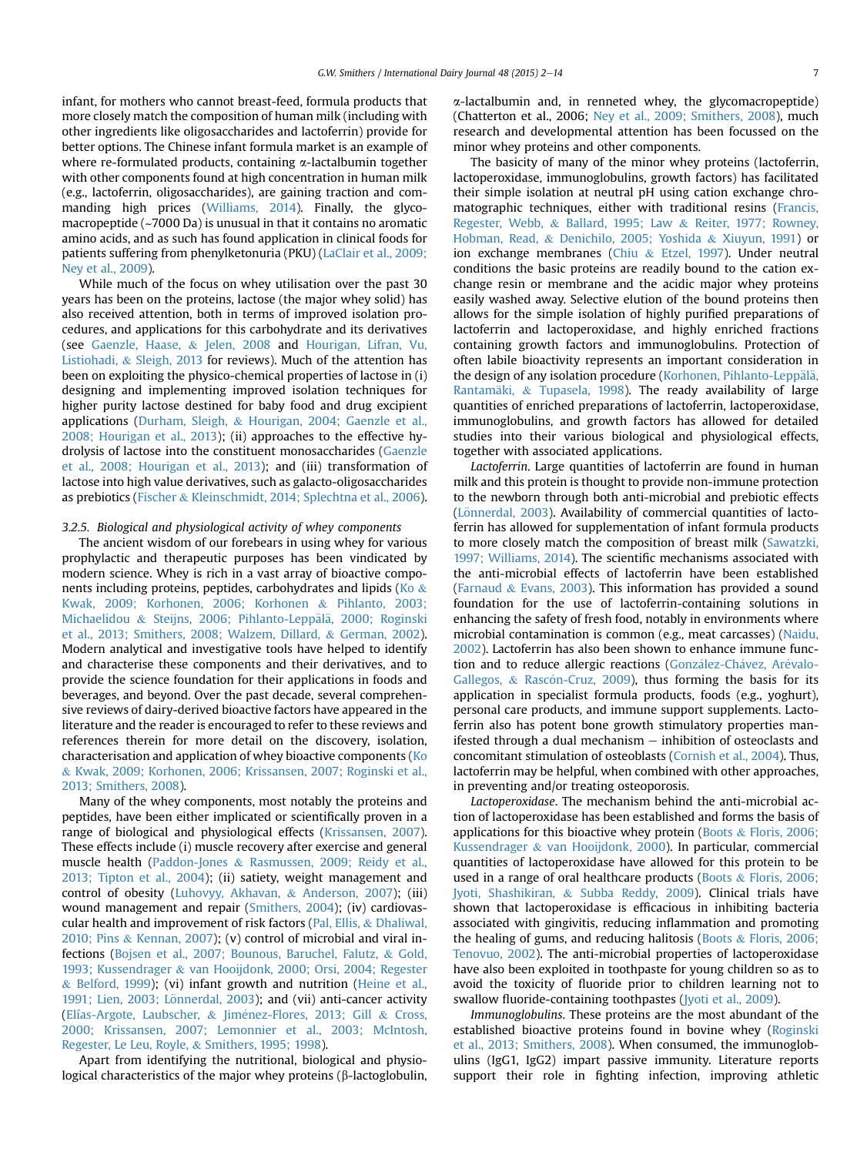infant, for mothers who cannot breast-feed, formula products that more closely match the composition of human milk (including with other ingredients like oligosaccharides and lactoferrin) provide for better options. The Chinese infant formula market is an example of where re-formulated products, containing  $\alpha$ -lactalbumin together with other components found at high concentration in human milk (e.g., lactoferrin, oligosaccharides), are gaining traction and commanding high prices ([Williams, 2014](#page-11-0)). Finally, the glycomacropeptide (~7000 Da) is unusual in that it contains no aromatic amino acids, and as such has found application in clinical foods for patients suffering from phenylketonuria (PKU) [\(LaClair et al., 2009;](#page-10-0) [Ney et al., 2009](#page-10-0)).

While much of the focus on whey utilisation over the past 30 years has been on the proteins, lactose (the major whey solid) has also received attention, both in terms of improved isolation procedures, and applications for this carbohydrate and its derivatives (see [Gaenzle, Haase,](#page-10-0) & [Jelen, 2008](#page-10-0) and [Hourigan, Lifran, Vu,](#page-10-0) [Listiohadi,](#page-10-0) & [Sleigh, 2013](#page-10-0) for reviews). Much of the attention has been on exploiting the physico-chemical properties of lactose in (i) designing and implementing improved isolation techniques for higher purity lactose destined for baby food and drug excipient applications [\(Durham, Sleigh,](#page-9-0) & [Hourigan, 2004; Gaenzle et al.,](#page-9-0) [2008; Hourigan et al., 2013](#page-9-0)); (ii) approaches to the effective hydrolysis of lactose into the constituent monosaccharides [\(Gaenzle](#page-10-0) [et al., 2008; Hourigan et al., 2013](#page-10-0)); and (iii) transformation of lactose into high value derivatives, such as galacto-oligosaccharides as prebiotics ([Fischer](#page-9-0) & [Kleinschmidt, 2014; Splechtna et al., 2006\)](#page-9-0).

#### 3.2.5. Biological and physiological activity of whey components

The ancient wisdom of our forebears in using whey for various prophylactic and therapeutic purposes has been vindicated by modern science. Whey is rich in a vast array of bioactive components including proteins, peptides, carbohydrates and lipids ([Ko](#page-10-0) & [Kwak, 2009; Korhonen, 2006; Korhonen](#page-10-0) & [Pihlanto, 2003;](#page-10-0) [Michaelidou](#page-10-0) & Steijns, 2006; Pihlanto-Leppälä[, 2000; Roginski](#page-10-0) [et al., 2013; Smithers, 2008; Walzem, Dillard,](#page-10-0) & [German, 2002\)](#page-10-0). Modern analytical and investigative tools have helped to identify and characterise these components and their derivatives, and to provide the science foundation for their applications in foods and beverages, and beyond. Over the past decade, several comprehensive reviews of dairy-derived bioactive factors have appeared in the literature and the reader is encouraged to refer to these reviews and references therein for more detail on the discovery, isolation, characterisation and application of whey bioactive components ([Ko](#page-10-0) & [Kwak, 2009; Korhonen, 2006; Krissansen, 2007; Roginski et al.,](#page-10-0) [2013; Smithers, 2008](#page-10-0)).

Many of the whey components, most notably the proteins and peptides, have been either implicated or scientifically proven in a range of biological and physiological effects ([Krissansen, 2007\)](#page-10-0). These effects include (i) muscle recovery after exercise and general muscle health ([Paddon-Jones](#page-11-0) & [Rasmussen, 2009; Reidy et al.,](#page-11-0) [2013; Tipton et al., 2004\)](#page-11-0); (ii) satiety, weight management and control of obesity [\(Luhovyy, Akhavan,](#page-10-0) & [Anderson, 2007\)](#page-10-0); (iii) wound management and repair [\(Smithers, 2004](#page-11-0)); (iv) cardiovascular health and improvement of risk factors ([Pal, Ellis,](#page-11-0) & [Dhaliwal,](#page-11-0) [2010; Pins](#page-11-0) & [Kennan, 2007](#page-11-0)); (v) control of microbial and viral infections ([Bojsen et al., 2007; Bounous, Baruchel, Falutz,](#page-9-0) & [Gold,](#page-9-0) [1993; Kussendrager](#page-9-0) & [van Hooijdonk, 2000; Orsi, 2004; Regester](#page-9-0) & [Belford, 1999](#page-9-0)); (vi) infant growth and nutrition ([Heine et al.,](#page-10-0) 1991; Lien, 2003; Lönnerdal, 2003); and (vii) anti-cancer activity ([Elías-Argote, Laubscher,](#page-9-0) & [Jim](#page-9-0)e[nez-Flores, 2013; Gill](#page-9-0) & [Cross,](#page-9-0) [2000; Krissansen, 2007; Lemonnier et al., 2003; McIntosh,](#page-9-0) [Regester, Le Leu, Royle,](#page-9-0) & [Smithers, 1995; 1998\)](#page-9-0).

Apart from identifying the nutritional, biological and physiological characteristics of the major whey proteins  $(\beta$ -lactoglobulin, a-lactalbumin and, in renneted whey, the glycomacropeptide) (Chatterton et al., 2006; [Ney et al., 2009; Smithers, 2008](#page-11-0)), much research and developmental attention has been focussed on the minor whey proteins and other components.

The basicity of many of the minor whey proteins (lactoferrin, lactoperoxidase, immunoglobulins, growth factors) has facilitated their simple isolation at neutral pH using cation exchange chro-matographic techniques, either with traditional resins [\(Francis,](#page-10-0) [Regester, Webb,](#page-10-0) & [Ballard, 1995; Law](#page-10-0) & [Reiter, 1977; Rowney,](#page-10-0) [Hobman, Read,](#page-10-0) & [Denichilo, 2005; Yoshida](#page-10-0) & [Xiuyun, 1991](#page-10-0)) or ion exchange membranes [\(Chiu](#page-9-0) & [Etzel, 1997](#page-9-0)). Under neutral conditions the basic proteins are readily bound to the cation exchange resin or membrane and the acidic major whey proteins easily washed away. Selective elution of the bound proteins then allows for the simple isolation of highly purified preparations of lactoferrin and lactoperoxidase, and highly enriched fractions containing growth factors and immunoglobulins. Protection of often labile bioactivity represents an important consideration in the design of any isolation procedure (Korhonen[,](#page-10-0) Pihlanto-Leppälä, Rantamäki, & [Tupasela, 1998\)](#page-10-0). The ready availability of large quantities of enriched preparations of lactoferrin, lactoperoxidase, immunoglobulins, and growth factors has allowed for detailed studies into their various biological and physiological effects, together with associated applications.

Lactoferrin. Large quantities of lactoferrin are found in human milk and this protein is thought to provide non-immune protection to the newborn through both anti-microbial and prebiotic effects (Lönnerdal, 2003). Availability of commercial quantities of lactoferrin has allowed for supplementation of infant formula products to more closely match the composition of breast milk [\(Sawatzki,](#page-11-0) [1997; Williams, 2014](#page-11-0)). The scientific mechanisms associated with the anti-microbial effects of lactoferrin have been established ([Farnaud](#page-9-0) & [Evans, 2003\)](#page-9-0). This information has provided a sound foundation for the use of lactoferrin-containing solutions in enhancing the safety of fresh food, notably in environments where microbial contamination is common (e.g., meat carcasses) [\(Naidu,](#page-10-0) [2002\)](#page-10-0). Lactoferrin has also been shown to enhance immune function and to reduce allergic reactions (González-Chávez, Aré[valo-](#page-10-0) [Gallegos,](#page-10-0)  $&$  Rascón-Cruz, 2009), thus forming the basis for its application in specialist formula products, foods (e.g., yoghurt), personal care products, and immune support supplements. Lactoferrin also has potent bone growth stimulatory properties manifested through a dual mechanism  $-$  inhibition of osteoclasts and concomitant stimulation of osteoblasts ([Cornish et al., 2004](#page-9-0)). Thus, lactoferrin may be helpful, when combined with other approaches, in preventing and/or treating osteoporosis.

Lactoperoxidase. The mechanism behind the anti-microbial action of lactoperoxidase has been established and forms the basis of applications for this bioactive whey protein ([Boots](#page-9-0)  $&$  [Floris, 2006;](#page-9-0) [Kussendrager](#page-9-0) & [van Hooijdonk, 2000](#page-9-0)). In particular, commercial quantities of lactoperoxidase have allowed for this protein to be used in a range of oral healthcare products [\(Boots](#page-9-0) & [Floris, 2006;](#page-9-0) [Jyoti, Shashikiran,](#page-9-0) & [Subba Reddy, 2009\)](#page-9-0). Clinical trials have shown that lactoperoxidase is efficacious in inhibiting bacteria associated with gingivitis, reducing inflammation and promoting the healing of gums, and reducing halitosis [\(Boots](#page-9-0) & [Floris, 2006;](#page-9-0) [Tenovuo, 2002](#page-9-0)). The anti-microbial properties of lactoperoxidase have also been exploited in toothpaste for young children so as to avoid the toxicity of fluoride prior to children learning not to swallow fluoride-containing toothpastes [\(Jyoti et al., 2009](#page-10-0)).

Immunoglobulins. These proteins are the most abundant of the established bioactive proteins found in bovine whey [\(Roginski](#page-11-0) [et al., 2013; Smithers, 2008](#page-11-0)). When consumed, the immunoglobulins (IgG1, IgG2) impart passive immunity. Literature reports support their role in fighting infection, improving athletic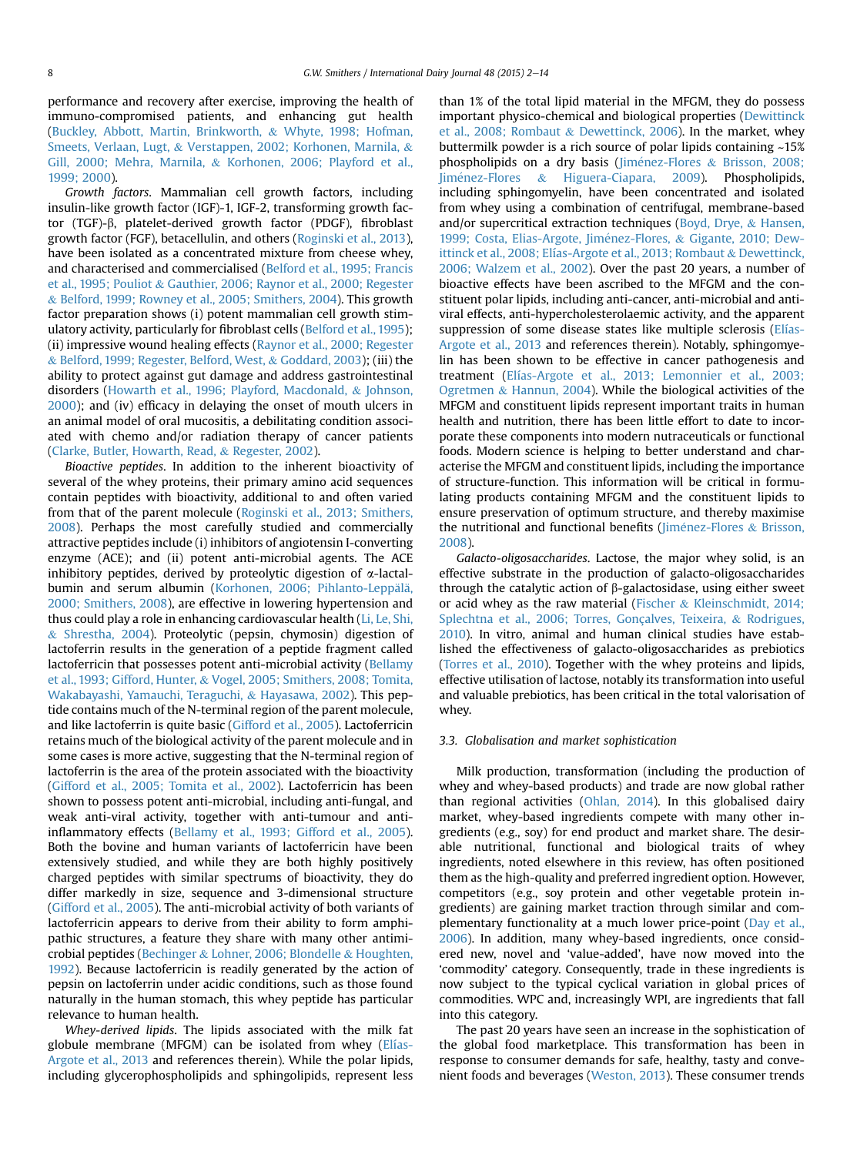performance and recovery after exercise, improving the health of immuno-compromised patients, and enhancing gut health ([Buckley, Abbott, Martin, Brinkworth,](#page-9-0) & [Whyte, 1998; Hofman,](#page-9-0) [Smeets, Verlaan, Lugt,](#page-9-0) & [Verstappen, 2002; Korhonen, Marnila,](#page-9-0) & [Gill, 2000; Mehra, Marnila,](#page-9-0) & [Korhonen, 2006; Playford et al.,](#page-9-0) [1999; 2000](#page-9-0)).

Growth factors. Mammalian cell growth factors, including insulin-like growth factor (IGF)-1, IGF-2, transforming growth factor (TGF)-b, platelet-derived growth factor (PDGF), fibroblast growth factor (FGF), betacellulin, and others [\(Roginski et al., 2013\)](#page-11-0), have been isolated as a concentrated mixture from cheese whey, and characterised and commercialised ([Belford et al., 1995; Francis](#page-9-0) [et al., 1995; Pouliot](#page-9-0) & [Gauthier, 2006; Raynor et al., 2000; Regester](#page-9-0) & [Belford, 1999; Rowney et al., 2005; Smithers, 2004](#page-9-0)). This growth factor preparation shows (i) potent mammalian cell growth stimulatory activity, particularly for fibroblast cells ([Belford et al., 1995](#page-9-0)); (ii) impressive wound healing effects ([Raynor et al., 2000; Regester](#page-11-0) & [Belford, 1999; Regester, Belford, West,](#page-11-0) & [Goddard, 2003](#page-11-0)); (iii) the ability to protect against gut damage and address gastrointestinal disorders [\(Howarth et al., 1996; Playford, Macdonald,](#page-10-0) & [Johnson,](#page-10-0) [2000](#page-10-0)); and (iv) efficacy in delaying the onset of mouth ulcers in an animal model of oral mucositis, a debilitating condition associated with chemo and/or radiation therapy of cancer patients ([Clarke, Butler, Howarth, Read,](#page-9-0) & [Regester, 2002](#page-9-0)).

Bioactive peptides. In addition to the inherent bioactivity of several of the whey proteins, their primary amino acid sequences contain peptides with bioactivity, additional to and often varied from that of the parent molecule ([Roginski et al., 2013; Smithers,](#page-11-0) [2008](#page-11-0)). Perhaps the most carefully studied and commercially attractive peptides include (i) inhibitors of angiotensin I-converting enzyme (ACE); and (ii) potent anti-microbial agents. The ACE inhibitory peptides, derived by proteolytic digestion of  $\alpha$ -lactal-bumin and serum albumin (Korhonen[,](#page-10-0) 2006; Pihlanto-Leppälä, [2000; Smithers, 2008](#page-10-0)), are effective in lowering hypertension and thus could play a role in enhancing cardiovascular health [\(Li, Le, Shi,](#page-10-0) & [Shrestha, 2004\)](#page-10-0). Proteolytic (pepsin, chymosin) digestion of lactoferrin results in the generation of a peptide fragment called lactoferricin that possesses potent anti-microbial activity ([Bellamy](#page-9-0) [et al., 1993; Gifford, Hunter,](#page-9-0) & [Vogel, 2005; Smithers, 2008; Tomita,](#page-9-0) [Wakabayashi, Yamauchi, Teraguchi,](#page-9-0) & [Hayasawa, 2002](#page-9-0)). This peptide contains much of the N-terminal region of the parent molecule, and like lactoferrin is quite basic ([Gifford et al., 2005\)](#page-10-0). Lactoferricin retains much of the biological activity of the parent molecule and in some cases is more active, suggesting that the N-terminal region of lactoferrin is the area of the protein associated with the bioactivity ([Gifford et al., 2005; Tomita et al., 2002\)](#page-10-0). Lactoferricin has been shown to possess potent anti-microbial, including anti-fungal, and weak anti-viral activity, together with anti-tumour and antiinflammatory effects ([Bellamy et al., 1993; Gifford et al., 2005\)](#page-9-0). Both the bovine and human variants of lactoferricin have been extensively studied, and while they are both highly positively charged peptides with similar spectrums of bioactivity, they do differ markedly in size, sequence and 3-dimensional structure ([Gifford et al., 2005\)](#page-10-0). The anti-microbial activity of both variants of lactoferricin appears to derive from their ability to form amphipathic structures, a feature they share with many other antimicrobial peptides ([Bechinger](#page-9-0) & [Lohner, 2006; Blondelle](#page-9-0) & [Houghten,](#page-9-0) [1992](#page-9-0)). Because lactoferricin is readily generated by the action of pepsin on lactoferrin under acidic conditions, such as those found naturally in the human stomach, this whey peptide has particular relevance to human health.

Whey-derived lipids. The lipids associated with the milk fat globule membrane (MFGM) can be isolated from whey [\(Elías-](#page-9-0)[Argote et al., 2013](#page-9-0) and references therein). While the polar lipids, including glycerophospholipids and sphingolipids, represent less

than 1% of the total lipid material in the MFGM, they do possess important physico-chemical and biological properties [\(Dewittinck](#page-9-0) [et al., 2008; Rombaut](#page-9-0) & [Dewettinck, 2006\)](#page-9-0). In the market, whey buttermilk powder is a rich source of polar lipids containing ~15% phospholipids on a dry basis (Jiménez-Flores & [Brisson, 2008;](#page-10-0) [Jim](#page-10-0)é[nez-Flores](#page-10-0) & [Higuera-Ciapara, 2009](#page-10-0)). Phospholipids, including sphingomyelin, have been concentrated and isolated from whey using a combination of centrifugal, membrane-based and/or supercritical extraction techniques [\(Boyd, Drye,](#page-9-0) & [Hansen,](#page-9-0) [1999; Costa, Elias-Argote, Jim](#page-9-0)é[nez-Flores,](#page-9-0) & [Gigante, 2010; Dew](#page-9-0)[ittinck et al., 2008; Elías-Argote et al., 2013; Rombaut](#page-9-0) & [Dewettinck,](#page-9-0) [2006; Walzem et al., 2002](#page-9-0)). Over the past 20 years, a number of bioactive effects have been ascribed to the MFGM and the constituent polar lipids, including anti-cancer, anti-microbial and antiviral effects, anti-hypercholesterolaemic activity, and the apparent suppression of some disease states like multiple sclerosis [\(Elías-](#page-9-0)[Argote et al., 2013](#page-9-0) and references therein). Notably, sphingomyelin has been shown to be effective in cancer pathogenesis and treatment [\(Elías-Argote et al., 2013; Lemonnier et al., 2003;](#page-9-0) [Ogretmen](#page-9-0) & [Hannun, 2004](#page-9-0)). While the biological activities of the MFGM and constituent lipids represent important traits in human health and nutrition, there has been little effort to date to incorporate these components into modern nutraceuticals or functional foods. Modern science is helping to better understand and characterise the MFGM and constituent lipids, including the importance of structure-function. This information will be critical in formulating products containing MFGM and the constituent lipids to ensure preservation of optimum structure, and thereby maximise the nutritional and functional benefits ( $\lim_{n \to \infty}$  Filores & [Brisson,](#page-10-0) [2008](#page-10-0)).

Galacto-oligosaccharides. Lactose, the major whey solid, is an effective substrate in the production of galacto-oligosaccharides through the catalytic action of  $\beta$ -galactosidase, using either sweet or acid whey as the raw material [\(Fischer](#page-9-0) & [Kleinschmidt, 2014;](#page-9-0) [Splechtna et al., 2006; Torres, Gonçalves, Teixeira,](#page-9-0) & [Rodrigues,](#page-9-0) [2010\)](#page-9-0). In vitro, animal and human clinical studies have established the effectiveness of galacto-oligosaccharides as prebiotics ([Torres et al., 2010\)](#page-11-0). Together with the whey proteins and lipids, effective utilisation of lactose, notably its transformation into useful and valuable prebiotics, has been critical in the total valorisation of whey.

#### 3.3. Globalisation and market sophistication

Milk production, transformation (including the production of whey and whey-based products) and trade are now global rather than regional activities [\(Ohlan, 2014\)](#page-11-0). In this globalised dairy market, whey-based ingredients compete with many other ingredients (e.g., soy) for end product and market share. The desirable nutritional, functional and biological traits of whey ingredients, noted elsewhere in this review, has often positioned them as the high-quality and preferred ingredient option. However, competitors (e.g., soy protein and other vegetable protein ingredients) are gaining market traction through similar and complementary functionality at a much lower price-point ([Day et al.,](#page-9-0) [2006](#page-9-0)). In addition, many whey-based ingredients, once considered new, novel and 'value-added', have now moved into the 'commodity' category. Consequently, trade in these ingredients is now subject to the typical cyclical variation in global prices of commodities. WPC and, increasingly WPI, are ingredients that fall into this category.

The past 20 years have seen an increase in the sophistication of the global food marketplace. This transformation has been in response to consumer demands for safe, healthy, tasty and convenient foods and beverages [\(Weston, 2013\)](#page-11-0). These consumer trends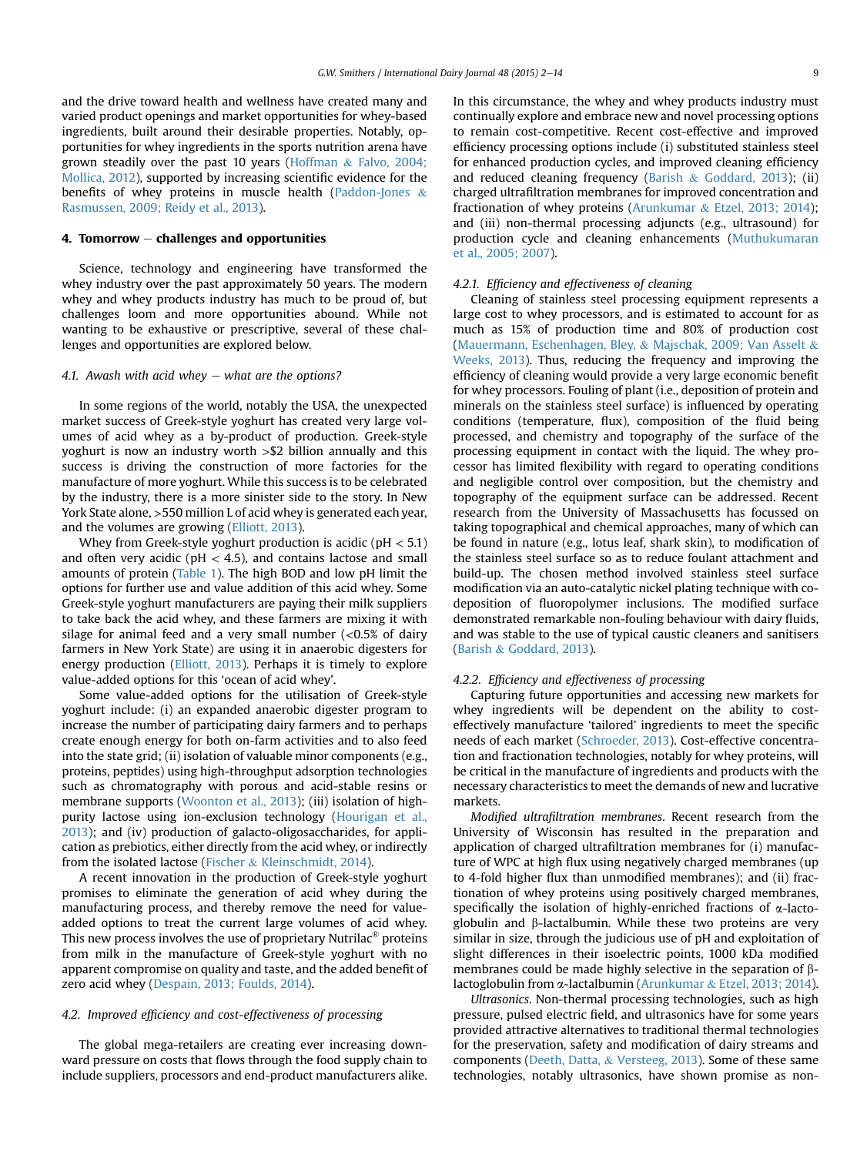<span id="page-7-0"></span>and the drive toward health and wellness have created many and varied product openings and market opportunities for whey-based ingredients, built around their desirable properties. Notably, opportunities for whey ingredients in the sports nutrition arena have grown steadily over the past 10 years [\(Hoffman](#page-10-0)  $&$  [Falvo, 2004;](#page-10-0) [Mollica, 2012](#page-10-0)), supported by increasing scientific evidence for the benefits of whey proteins in muscle health [\(Paddon-Jones](#page-11-0) & [Rasmussen, 2009; Reidy et al., 2013\)](#page-11-0).

## 4. Tomorrow  $-$  challenges and opportunities

Science, technology and engineering have transformed the whey industry over the past approximately 50 years. The modern whey and whey products industry has much to be proud of, but challenges loom and more opportunities abound. While not wanting to be exhaustive or prescriptive, several of these challenges and opportunities are explored below.

#### 4.1. Awash with acid whey  $-$  what are the options?

In some regions of the world, notably the USA, the unexpected market success of Greek-style yoghurt has created very large volumes of acid whey as a by-product of production. Greek-style yoghurt is now an industry worth >\$2 billion annually and this success is driving the construction of more factories for the manufacture of more yoghurt. While this success is to be celebrated by the industry, there is a more sinister side to the story. In New York State alone, >550 million L of acid whey is generated each year, and the volumes are growing [\(Elliott, 2013\)](#page-9-0).

Whey from Greek-style yoghurt production is acidic ( $pH < 5.1$ ) and often very acidic ( $pH < 4.5$ ), and contains lactose and small amounts of protein ([Table 1](#page-1-0)). The high BOD and low pH limit the options for further use and value addition of this acid whey. Some Greek-style yoghurt manufacturers are paying their milk suppliers to take back the acid whey, and these farmers are mixing it with silage for animal feed and a very small number  $\langle$  <0.5% of dairy farmers in New York State) are using it in anaerobic digesters for energy production [\(Elliott, 2013](#page-9-0)). Perhaps it is timely to explore value-added options for this 'ocean of acid whey'.

Some value-added options for the utilisation of Greek-style yoghurt include: (i) an expanded anaerobic digester program to increase the number of participating dairy farmers and to perhaps create enough energy for both on-farm activities and to also feed into the state grid; (ii) isolation of valuable minor components (e.g., proteins, peptides) using high-throughput adsorption technologies such as chromatography with porous and acid-stable resins or membrane supports ([Woonton et al., 2013\)](#page-11-0); (iii) isolation of highpurity lactose using ion-exclusion technology [\(Hourigan et al.,](#page-10-0) [2013\)](#page-10-0); and (iv) production of galacto-oligosaccharides, for application as prebiotics, either directly from the acid whey, or indirectly from the isolated lactose ([Fischer](#page-9-0) & [Kleinschmidt, 2014](#page-9-0)).

A recent innovation in the production of Greek-style yoghurt promises to eliminate the generation of acid whey during the manufacturing process, and thereby remove the need for valueadded options to treat the current large volumes of acid whey. This new process involves the use of proprietary Nutrilac® proteins from milk in the manufacture of Greek-style yoghurt with no apparent compromise on quality and taste, and the added benefit of zero acid whey ([Despain, 2013; Foulds, 2014\)](#page-9-0).

#### 4.2. Improved efficiency and cost-effectiveness of processing

The global mega-retailers are creating ever increasing downward pressure on costs that flows through the food supply chain to include suppliers, processors and end-product manufacturers alike. In this circumstance, the whey and whey products industry must continually explore and embrace new and novel processing options to remain cost-competitive. Recent cost-effective and improved efficiency processing options include (i) substituted stainless steel for enhanced production cycles, and improved cleaning efficiency and reduced cleaning frequency ([Barish](#page-9-0)  $&$  [Goddard, 2013](#page-9-0)); (ii) charged ultrafiltration membranes for improved concentration and fractionation of whey proteins ([Arunkumar](#page-9-0) & [Etzel, 2013; 2014\)](#page-9-0); and (iii) non-thermal processing adjuncts (e.g., ultrasound) for production cycle and cleaning enhancements [\(Muthukumaran](#page-10-0) [et al., 2005; 2007\)](#page-10-0).

#### 4.2.1. Efficiency and effectiveness of cleaning

Cleaning of stainless steel processing equipment represents a large cost to whey processors, and is estimated to account for as much as 15% of production time and 80% of production cost ([Mauermann, Eschenhagen, Bley,](#page-10-0) & [Majschak, 2009; Van Asselt](#page-10-0) & [Weeks, 2013\)](#page-10-0). Thus, reducing the frequency and improving the efficiency of cleaning would provide a very large economic benefit for whey processors. Fouling of plant (i.e., deposition of protein and minerals on the stainless steel surface) is influenced by operating conditions (temperature, flux), composition of the fluid being processed, and chemistry and topography of the surface of the processing equipment in contact with the liquid. The whey processor has limited flexibility with regard to operating conditions and negligible control over composition, but the chemistry and topography of the equipment surface can be addressed. Recent research from the University of Massachusetts has focussed on taking topographical and chemical approaches, many of which can be found in nature (e.g., lotus leaf, shark skin), to modification of the stainless steel surface so as to reduce foulant attachment and build-up. The chosen method involved stainless steel surface modification via an auto-catalytic nickel plating technique with codeposition of fluoropolymer inclusions. The modified surface demonstrated remarkable non-fouling behaviour with dairy fluids, and was stable to the use of typical caustic cleaners and sanitisers ([Barish](#page-9-0) & [Goddard, 2013\)](#page-9-0).

#### 4.2.2. Efficiency and effectiveness of processing

Capturing future opportunities and accessing new markets for whey ingredients will be dependent on the ability to costeffectively manufacture 'tailored' ingredients to meet the specific needs of each market ([Schroeder, 2013](#page-11-0)). Cost-effective concentration and fractionation technologies, notably for whey proteins, will be critical in the manufacture of ingredients and products with the necessary characteristics to meet the demands of new and lucrative markets.

Modified ultrafiltration membranes. Recent research from the University of Wisconsin has resulted in the preparation and application of charged ultrafiltration membranes for (i) manufacture of WPC at high flux using negatively charged membranes (up to 4-fold higher flux than unmodified membranes); and (ii) fractionation of whey proteins using positively charged membranes, specifically the isolation of highly-enriched fractions of  $\alpha$ -lactoglobulin and  $\beta$ -lactalbumin. While these two proteins are very similar in size, through the judicious use of pH and exploitation of slight differences in their isoelectric points, 1000 kDa modified membranes could be made highly selective in the separation of  $\beta$ lactoglobulin from a-lactalbumin ([Arunkumar](#page-9-0) & [Etzel, 2013; 2014\)](#page-9-0).

Ultrasonics. Non-thermal processing technologies, such as high pressure, pulsed electric field, and ultrasonics have for some years provided attractive alternatives to traditional thermal technologies for the preservation, safety and modification of dairy streams and components ([Deeth, Datta,](#page-9-0) & [Versteeg, 2013](#page-9-0)). Some of these same technologies, notably ultrasonics, have shown promise as non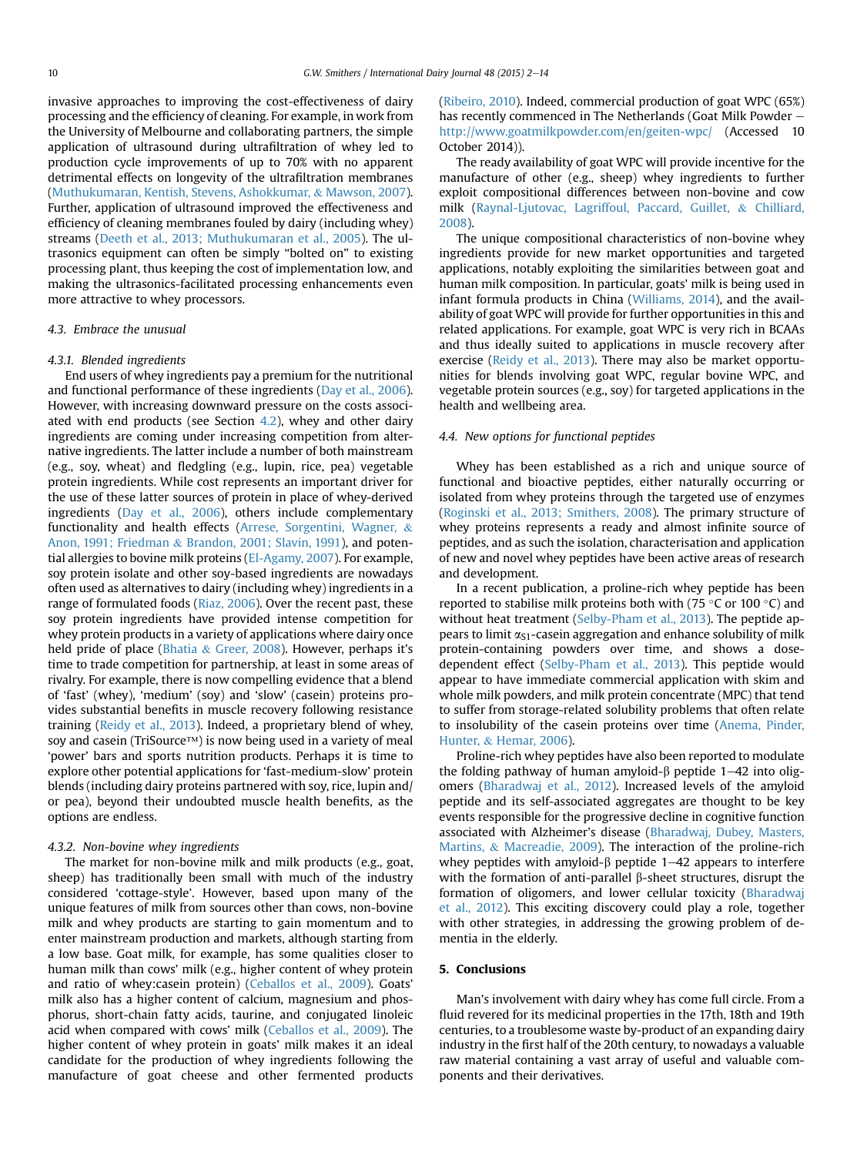invasive approaches to improving the cost-effectiveness of dairy processing and the efficiency of cleaning. For example, in work from the University of Melbourne and collaborating partners, the simple application of ultrasound during ultrafiltration of whey led to production cycle improvements of up to 70% with no apparent detrimental effects on longevity of the ultrafiltration membranes ([Muthukumaran, Kentish, Stevens, Ashokkumar,](#page-10-0) & [Mawson, 2007\)](#page-10-0). Further, application of ultrasound improved the effectiveness and efficiency of cleaning membranes fouled by dairy (including whey) streams ([Deeth et al., 2013; Muthukumaran et al., 2005](#page-9-0)). The ultrasonics equipment can often be simply "bolted on" to existing processing plant, thus keeping the cost of implementation low, and making the ultrasonics-facilitated processing enhancements even more attractive to whey processors.

#### 4.3. Embrace the unusual

#### 4.3.1. Blended ingredients

End users of whey ingredients pay a premium for the nutritional and functional performance of these ingredients ([Day et al., 2006\)](#page-9-0). However, with increasing downward pressure on the costs associated with end products (see Section  $4.2$ ), whey and other dairy ingredients are coming under increasing competition from alternative ingredients. The latter include a number of both mainstream (e.g., soy, wheat) and fledgling (e.g., lupin, rice, pea) vegetable protein ingredients. While cost represents an important driver for the use of these latter sources of protein in place of whey-derived ingredients ([Day et al., 2006](#page-9-0)), others include complementary functionality and health effects [\(Arrese, Sorgentini, Wagner,](#page-9-0) & [Anon, 1991; Friedman](#page-9-0) & [Brandon, 2001; Slavin, 1991](#page-9-0)), and potential allergies to bovine milk proteins ([El-Agamy, 2007\)](#page-9-0). For example, soy protein isolate and other soy-based ingredients are nowadays often used as alternatives to dairy (including whey) ingredients in a range of formulated foods [\(Riaz, 2006](#page-11-0)). Over the recent past, these soy protein ingredients have provided intense competition for whey protein products in a variety of applications where dairy once held pride of place ([Bhatia](#page-9-0)  $&$  [Greer, 2008\)](#page-9-0). However, perhaps it's time to trade competition for partnership, at least in some areas of rivalry. For example, there is now compelling evidence that a blend of 'fast' (whey), 'medium' (soy) and 'slow' (casein) proteins provides substantial benefits in muscle recovery following resistance training ([Reidy et al., 2013\)](#page-11-0). Indeed, a proprietary blend of whey, soy and casein (TriSource™) is now being used in a variety of meal 'power' bars and sports nutrition products. Perhaps it is time to explore other potential applications for 'fast-medium-slow' protein blends (including dairy proteins partnered with soy, rice, lupin and/ or pea), beyond their undoubted muscle health benefits, as the options are endless.

## 4.3.2. Non-bovine whey ingredients

The market for non-bovine milk and milk products (e.g., goat, sheep) has traditionally been small with much of the industry considered 'cottage-style'. However, based upon many of the unique features of milk from sources other than cows, non-bovine milk and whey products are starting to gain momentum and to enter mainstream production and markets, although starting from a low base. Goat milk, for example, has some qualities closer to human milk than cows' milk (e.g., higher content of whey protein and ratio of whey:casein protein) ([Ceballos et al., 2009\)](#page-9-0). Goats' milk also has a higher content of calcium, magnesium and phosphorus, short-chain fatty acids, taurine, and conjugated linoleic acid when compared with cows' milk [\(Ceballos et al., 2009\)](#page-9-0). The higher content of whey protein in goats' milk makes it an ideal candidate for the production of whey ingredients following the manufacture of goat cheese and other fermented products ([Ribeiro, 2010](#page-11-0)). Indeed, commercial production of goat WPC (65%) has recently commenced in The Netherlands (Goat Milk Powder  $$ <http://www.goatmilkpowder.com/en/geiten-wpc/> (Accessed 10 October 2014)).

The ready availability of goat WPC will provide incentive for the manufacture of other (e.g., sheep) whey ingredients to further exploit compositional differences between non-bovine and cow milk [\(Raynal-Ljutovac, Lagriffoul, Paccard, Guillet,](#page-11-0) & [Chilliard,](#page-11-0) [2008](#page-11-0)).

The unique compositional characteristics of non-bovine whey ingredients provide for new market opportunities and targeted applications, notably exploiting the similarities between goat and human milk composition. In particular, goats' milk is being used in infant formula products in China ([Williams, 2014](#page-11-0)), and the availability of goat WPC will provide for further opportunities in this and related applications. For example, goat WPC is very rich in BCAAs and thus ideally suited to applications in muscle recovery after exercise ([Reidy et al., 2013\)](#page-11-0). There may also be market opportunities for blends involving goat WPC, regular bovine WPC, and vegetable protein sources (e.g., soy) for targeted applications in the health and wellbeing area.

#### 4.4. New options for functional peptides

Whey has been established as a rich and unique source of functional and bioactive peptides, either naturally occurring or isolated from whey proteins through the targeted use of enzymes ([Roginski et al., 2013; Smithers, 2008](#page-11-0)). The primary structure of whey proteins represents a ready and almost infinite source of peptides, and as such the isolation, characterisation and application of new and novel whey peptides have been active areas of research and development.

In a recent publication, a proline-rich whey peptide has been reported to stabilise milk proteins both with (75  $\degree$ C or 100  $\degree$ C) and without heat treatment ([Selby-Pham et al., 2013](#page-11-0)). The peptide appears to limit  $\alpha_{S1}$ -casein aggregation and enhance solubility of milk protein-containing powders over time, and shows a dosedependent effect [\(Selby-Pham et al., 2013\)](#page-11-0). This peptide would appear to have immediate commercial application with skim and whole milk powders, and milk protein concentrate (MPC) that tend to suffer from storage-related solubility problems that often relate to insolubility of the casein proteins over time [\(Anema, Pinder,](#page-9-0) [Hunter,](#page-9-0) & [Hemar, 2006](#page-9-0)).

Proline-rich whey peptides have also been reported to modulate the folding pathway of human amyloid- $\beta$  peptide 1-42 into oligomers [\(Bharadwaj et al., 2012](#page-9-0)). Increased levels of the amyloid peptide and its self-associated aggregates are thought to be key events responsible for the progressive decline in cognitive function associated with Alzheimer's disease ([Bharadwaj, Dubey, Masters,](#page-9-0) [Martins,](#page-9-0) & [Macreadie, 2009](#page-9-0)). The interaction of the proline-rich whey peptides with amyloid- $\beta$  peptide 1–42 appears to interfere with the formation of anti-parallel  $\beta$ -sheet structures, disrupt the formation of oligomers, and lower cellular toxicity ([Bharadwaj](#page-9-0) [et al., 2012\)](#page-9-0). This exciting discovery could play a role, together with other strategies, in addressing the growing problem of dementia in the elderly.

#### 5. Conclusions

Man's involvement with dairy whey has come full circle. From a fluid revered for its medicinal properties in the 17th, 18th and 19th centuries, to a troublesome waste by-product of an expanding dairy industry in the first half of the 20th century, to nowadays a valuable raw material containing a vast array of useful and valuable components and their derivatives.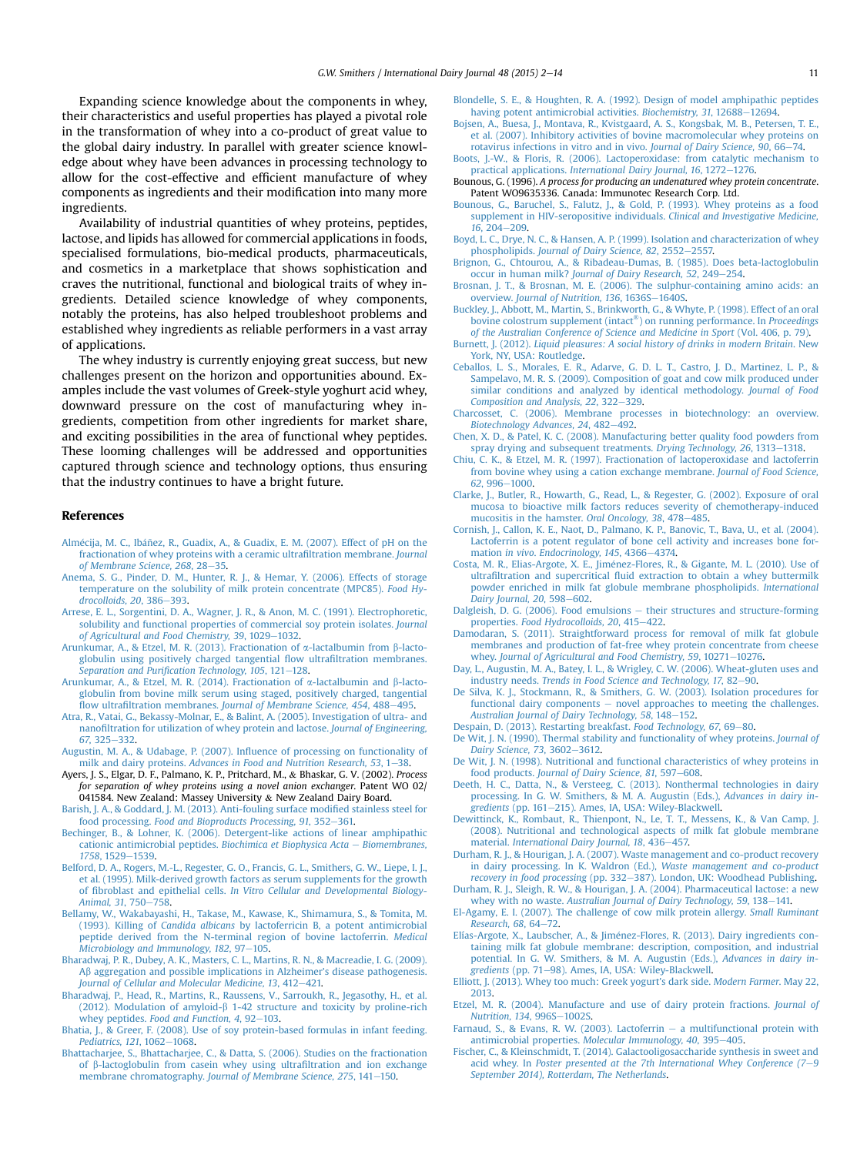<span id="page-9-0"></span>Expanding science knowledge about the components in whey, their characteristics and useful properties has played a pivotal role in the transformation of whey into a co-product of great value to the global dairy industry. In parallel with greater science knowledge about whey have been advances in processing technology to allow for the cost-effective and efficient manufacture of whey components as ingredients and their modification into many more ingredients.

Availability of industrial quantities of whey proteins, peptides, lactose, and lipids has allowed for commercial applications in foods, specialised formulations, bio-medical products, pharmaceuticals, and cosmetics in a marketplace that shows sophistication and craves the nutritional, functional and biological traits of whey ingredients. Detailed science knowledge of whey components, notably the proteins, has also helped troubleshoot problems and established whey ingredients as reliable performers in a vast array of applications.

The whey industry is currently enjoying great success, but new challenges present on the horizon and opportunities abound. Examples include the vast volumes of Greek-style yoghurt acid whey, downward pressure on the cost of manufacturing whey ingredients, competition from other ingredients for market share, and exciting possibilities in the area of functional whey peptides. These looming challenges will be addressed and opportunities captured through science and technology options, thus ensuring that the industry continues to have a bright future.

#### References

- Almécija, M. C., Ibáñez, R., Guadix, A., & Guadix, E. M. (2007). Effect of pH on the [fractionation of whey proteins with a ceramic ultra](http://refhub.elsevier.com/S0958-6946(15)00022-9/sref1)filtration membrane. Journal [of Membrane Science, 268](http://refhub.elsevier.com/S0958-6946(15)00022-9/sref1), 28-[35](http://refhub.elsevier.com/S0958-6946(15)00022-9/sref1).
- [Anema, S. G., Pinder, D. M., Hunter, R. J., & Hemar, Y. \(2006\). Effects of storage](http://refhub.elsevier.com/S0958-6946(15)00022-9/sref2) [temperature on the solubility of milk protein concentrate \(MPC85\).](http://refhub.elsevier.com/S0958-6946(15)00022-9/sref2) Food Hy $drocolloids, 20, 386 - 393.$  $drocolloids, 20, 386 - 393.$  $drocolloids, 20, 386 - 393.$  $drocolloids, 20, 386 - 393.$
- [Arrese, E. L., Sorgentini, D. A., Wagner, J. R., & Anon, M. C. \(1991\). Electrophoretic,](http://refhub.elsevier.com/S0958-6946(15)00022-9/sref3) [solubility and functional properties of commercial soy protein isolates.](http://refhub.elsevier.com/S0958-6946(15)00022-9/sref3) Journal [of Agricultural and Food Chemistry, 39](http://refhub.elsevier.com/S0958-6946(15)00022-9/sref3), 1029-[1032](http://refhub.elsevier.com/S0958-6946(15)00022-9/sref3).
- [Arunkumar, A., & Etzel, M. R. \(2013\). Fractionation of](http://refhub.elsevier.com/S0958-6946(15)00022-9/sref4)  $\alpha$ -lactalbumin from 6-lacto[globulin using positively charged tangential](http://refhub.elsevier.com/S0958-6946(15)00022-9/sref4) flow ultrafiltration membranes. Separation and Purifi[cation Technology, 105](http://refhub.elsevier.com/S0958-6946(15)00022-9/sref4), 121-[128.](http://refhub.elsevier.com/S0958-6946(15)00022-9/sref4)
- [Arunkumar, A., & Etzel, M. R. \(2014\). Fractionation of](http://refhub.elsevier.com/S0958-6946(15)00022-9/sref5)  $\alpha$ -lactalbumin and  $\beta$ -lacto[globulin from bovine milk serum using staged, positively charged, tangential](http://refhub.elsevier.com/S0958-6946(15)00022-9/sref5) flow ultrafiltration membranes. [Journal of Membrane Science, 454](http://refhub.elsevier.com/S0958-6946(15)00022-9/sref5), 488-[495](http://refhub.elsevier.com/S0958-6946(15)00022-9/sref5).
- [Atra, R., Vatai, G., Bekassy-Molnar, E., & Balint, A. \(2005\). Investigation of ultra- and](http://refhub.elsevier.com/S0958-6946(15)00022-9/sref6) nanofi[ltration for utilization of whey protein and lactose.](http://refhub.elsevier.com/S0958-6946(15)00022-9/sref6) Journal of Engineering, 67[, 325](http://refhub.elsevier.com/S0958-6946(15)00022-9/sref6)-[332.](http://refhub.elsevier.com/S0958-6946(15)00022-9/sref6)
- [Augustin, M. A., & Udabage, P. \(2007\). In](http://refhub.elsevier.com/S0958-6946(15)00022-9/sref7)fluence of processing on functionality of milk and dairy proteins. Advances in Food and Nutrition Research,  $53$ ,  $1-38$  $1-38$ .
- Ayers, J. S., Elgar, D. F., Palmano, K. P., Pritchard, M., & Bhaskar, G. V. (2002). Process for separation of whey proteins using a novel anion exchanger. Patent WO 02/ 041584. New Zealand: Massey University & New Zealand Dairy Board.
- [Barish, J. A., & Goddard, J. M. \(2013\). Anti-fouling surface modi](http://refhub.elsevier.com/S0958-6946(15)00022-9/sref8)fied stainless steel for food processing. [Food and Bioproducts Processing, 91](http://refhub.elsevier.com/S0958-6946(15)00022-9/sref8), 352-[361.](http://refhub.elsevier.com/S0958-6946(15)00022-9/sref8)
- [Bechinger, B., & Lohner, K. \(2006\). Detergent-like actions of linear amphipathic](http://refhub.elsevier.com/S0958-6946(15)00022-9/sref9) [cationic antimicrobial peptides.](http://refhub.elsevier.com/S0958-6946(15)00022-9/sref9) Biochimica et Biophysica Acta  $-$  [Biomembranes,](http://refhub.elsevier.com/S0958-6946(15)00022-9/sref9) 1758[, 1529](http://refhub.elsevier.com/S0958-6946(15)00022-9/sref9)-[1539](http://refhub.elsevier.com/S0958-6946(15)00022-9/sref9).
- [Belford, D. A., Rogers, M.-L., Regester, G. O., Francis, G. L., Smithers, G. W., Liepe, I. J.,](http://refhub.elsevier.com/S0958-6946(15)00022-9/sref10) [et al. \(1995\). Milk-derived growth factors as serum supplements for the growth](http://refhub.elsevier.com/S0958-6946(15)00022-9/sref10) of fibroblast and epithelial cells. [In Vitro Cellular and Developmental Biology-](http://refhub.elsevier.com/S0958-6946(15)00022-9/sref10)[Animal, 31](http://refhub.elsevier.com/S0958-6946(15)00022-9/sref10), 750-[758.](http://refhub.elsevier.com/S0958-6946(15)00022-9/sref10)
- [Bellamy, W., Wakabayashi, H., Takase, M., Kawase, K., Shimamura, S., & Tomita, M.](http://refhub.elsevier.com/S0958-6946(15)00022-9/sref11) (1993). Killing of Candida albicans [by lactoferricin B, a potent antimicrobial](http://refhub.elsevier.com/S0958-6946(15)00022-9/sref11) [peptide derived from the N-terminal region of bovine lactoferrin.](http://refhub.elsevier.com/S0958-6946(15)00022-9/sref11) Medical [Microbiology and Immunology, 182](http://refhub.elsevier.com/S0958-6946(15)00022-9/sref11), 97-[105](http://refhub.elsevier.com/S0958-6946(15)00022-9/sref11).
- [Bharadwaj, P. R., Dubey, A. K., Masters, C. L., Martins, R. N., & Macreadie, I. G. \(2009\).](http://refhub.elsevier.com/S0958-6946(15)00022-9/sref12) Ab [aggregation and possible implications in Alzheimer's disease pathogenesis.](http://refhub.elsevier.com/S0958-6946(15)00022-9/sref12) [Journal of Cellular and Molecular Medicine, 13](http://refhub.elsevier.com/S0958-6946(15)00022-9/sref12), 412-[421.](http://refhub.elsevier.com/S0958-6946(15)00022-9/sref12)
- [Bharadwaj, P., Head, R., Martins, R., Raussens, V., Sarroukh, R., Jegasothy, H., et al.](http://refhub.elsevier.com/S0958-6946(15)00022-9/sref13) (2012). Modulation of amyloid- $\beta$  [1-42 structure and toxicity by proline-rich](http://refhub.elsevier.com/S0958-6946(15)00022-9/sref13) whey peptides. [Food and Function, 4](http://refhub.elsevier.com/S0958-6946(15)00022-9/sref13), 92-[103.](http://refhub.elsevier.com/S0958-6946(15)00022-9/sref13)
- [Bhatia, J., & Greer, F. \(2008\). Use of soy protein-based formulas in infant feeding.](http://refhub.elsevier.com/S0958-6946(15)00022-9/sref14) [Pediatrics, 121](http://refhub.elsevier.com/S0958-6946(15)00022-9/sref14), 1062-[1068](http://refhub.elsevier.com/S0958-6946(15)00022-9/sref14).
- [Bhattacharjee, S., Bhattacharjee, C., & Datta, S. \(2006\). Studies on the fractionation](http://refhub.elsevier.com/S0958-6946(15)00022-9/sref15) of b[-lactoglobulin from casein whey using ultra](http://refhub.elsevier.com/S0958-6946(15)00022-9/sref15)filtration and ion exchange membrane chromatography. [Journal of Membrane Science, 275](http://refhub.elsevier.com/S0958-6946(15)00022-9/sref15), 141-[150](http://refhub.elsevier.com/S0958-6946(15)00022-9/sref15).
- [Blondelle, S. E., & Houghten, R. A. \(1992\). Design of model amphipathic peptides](http://refhub.elsevier.com/S0958-6946(15)00022-9/sref16) [having potent antimicrobial activities.](http://refhub.elsevier.com/S0958-6946(15)00022-9/sref16) Biochemistry, 31, 12688-[12694](http://refhub.elsevier.com/S0958-6946(15)00022-9/sref16).
- [Bojsen, A., Buesa, J., Montava, R., Kvistgaard, A. S., Kongsbak, M. B., Petersen, T. E.,](http://refhub.elsevier.com/S0958-6946(15)00022-9/sref17) [et al. \(2007\). Inhibitory activities of bovine macromolecular whey proteins on](http://refhub.elsevier.com/S0958-6946(15)00022-9/sref17) [rotavirus infections in vitro and in vivo.](http://refhub.elsevier.com/S0958-6946(15)00022-9/sref17) Journal of Dairy Science,  $90.66 - 74.6$  $90.66 - 74.6$  $90.66 - 74.6$
- [Boots, J.-W., & Floris, R. \(2006\). Lactoperoxidase: from catalytic mechanism to](http://refhub.elsevier.com/S0958-6946(15)00022-9/sref18) practical applications. [International Dairy Journal, 16](http://refhub.elsevier.com/S0958-6946(15)00022-9/sref18), 1272-[1276](http://refhub.elsevier.com/S0958-6946(15)00022-9/sref18).
- Bounous, G. (1996). A process for producing an undenatured whey protein concentrate. Patent WO9635336. Canada: Immunotec Research Corp. Ltd.
- [Bounous, G., Baruchel, S., Falutz, J., & Gold, P. \(1993\). Whey proteins as a food](http://refhub.elsevier.com/S0958-6946(15)00022-9/sref19) [supplement in HIV-seropositive individuals.](http://refhub.elsevier.com/S0958-6946(15)00022-9/sref19) Clinical and Investigative Medicine,  $16.204 - 209.$  $16.204 - 209.$
- [Boyd, L. C., Drye, N. C., & Hansen, A. P. \(1999\). Isolation and characterization of whey](http://refhub.elsevier.com/S0958-6946(15)00022-9/sref20) phospholipids. [Journal of Dairy Science, 82](http://refhub.elsevier.com/S0958-6946(15)00022-9/sref20), 2552-[2557.](http://refhub.elsevier.com/S0958-6946(15)00022-9/sref20)
- [Brignon, G., Chtourou, A., & Ribadeau-Dumas, B. \(1985\). Does beta-lactoglobulin](http://refhub.elsevier.com/S0958-6946(15)00022-9/sref21) occur in human milk? [Journal of Dairy Research, 52](http://refhub.elsevier.com/S0958-6946(15)00022-9/sref21), 249–[254](http://refhub.elsevier.com/S0958-6946(15)00022-9/sref21).
- [Brosnan, J. T., & Brosnan, M. E. \(2006\). The sulphur-containing amino acids: an](http://refhub.elsevier.com/S0958-6946(15)00022-9/sref22) overview. [Journal of Nutrition, 136](http://refhub.elsevier.com/S0958-6946(15)00022-9/sref22), 1636S-[1640S.](http://refhub.elsevier.com/S0958-6946(15)00022-9/sref22)
- [Buckley, J., Abbott, M., Martin, S., Brinkworth, G., & Whyte, P. \(1998\). Effect of an oral](http://refhub.elsevier.com/S0958-6946(15)00022-9/sref23) [bovine](http://refhub.elsevier.com/S0958-6946(15)00022-9/sref23) [colostrum](http://refhub.elsevier.com/S0958-6946(15)00022-9/sref23) [supplement](http://refhub.elsevier.com/S0958-6946(15)00022-9/sref23) [\(intact](http://refhub.elsevier.com/S0958-6946(15)00022-9/sref23)®[\) on running performance. In](http://refhub.elsevier.com/S0958-6946(15)00022-9/sref23) Proceedings [of the Australian Conference of Science and Medicine in Sport](http://refhub.elsevier.com/S0958-6946(15)00022-9/sref23) (Vol. 406, p. 79).
- Burnett, J. (2012). [Liquid pleasures: A social history of drinks in modern Britain](http://refhub.elsevier.com/S0958-6946(15)00022-9/sref24). New [York, NY, USA: Routledge](http://refhub.elsevier.com/S0958-6946(15)00022-9/sref24).
- [Ceballos, L. S., Morales, E. R., Adarve, G. D. L. T., Castro, J. D., Martinez, L. P., &](http://refhub.elsevier.com/S0958-6946(15)00022-9/sref25) [Sampelavo, M. R. S. \(2009\). Composition of goat and cow milk produced under](http://refhub.elsevier.com/S0958-6946(15)00022-9/sref25) [similar conditions and analyzed by identical methodology.](http://refhub.elsevier.com/S0958-6946(15)00022-9/sref25) Journal of Food [Composition and Analysis, 22](http://refhub.elsevier.com/S0958-6946(15)00022-9/sref25), 322-[329](http://refhub.elsevier.com/S0958-6946(15)00022-9/sref25).
- [Charcosset, C. \(2006\). Membrane processes in biotechnology: an overview.](http://refhub.elsevier.com/S0958-6946(15)00022-9/sref26) [Biotechnology Advances, 24](http://refhub.elsevier.com/S0958-6946(15)00022-9/sref26), 482-[492.](http://refhub.elsevier.com/S0958-6946(15)00022-9/sref26)
- [Chen, X. D., & Patel, K. C. \(2008\). Manufacturing better quality food powders from](http://refhub.elsevier.com/S0958-6946(15)00022-9/sref27) [spray drying and subsequent treatments.](http://refhub.elsevier.com/S0958-6946(15)00022-9/sref27) Drying Technology, 26, 1313–[1318.](http://refhub.elsevier.com/S0958-6946(15)00022-9/sref27)
- [Chiu, C. K., & Etzel, M. R. \(1997\). Fractionation of lactoperoxidase and lactoferrin](http://refhub.elsevier.com/S0958-6946(15)00022-9/sref28) [from bovine whey using a cation exchange membrane.](http://refhub.elsevier.com/S0958-6946(15)00022-9/sref28) Journal of Food Science,  $62, 996 - 1000$  $62, 996 - 1000$  $62, 996 - 1000$
- [Clarke, J., Butler, R., Howarth, G., Read, L., & Regester, G. \(2002\). Exposure of oral](http://refhub.elsevier.com/S0958-6946(15)00022-9/sref29) [mucosa to bioactive milk factors reduces severity of chemotherapy-induced](http://refhub.elsevier.com/S0958-6946(15)00022-9/sref29) [mucositis in the hamster.](http://refhub.elsevier.com/S0958-6946(15)00022-9/sref29) Oral Oncology, 38, 478-[485](http://refhub.elsevier.com/S0958-6946(15)00022-9/sref29).
- [Cornish, J., Callon, K. E., Naot, D., Palmano, K. P., Banovic, T., Bava, U., et al. \(2004\).](http://refhub.elsevier.com/S0958-6946(15)00022-9/sref30) [Lactoferrin is a potent regulator of bone cell activity and increases bone for-](http://refhub.elsevier.com/S0958-6946(15)00022-9/sref30)mation in vivo. [Endocrinology, 145](http://refhub.elsevier.com/S0958-6946(15)00022-9/sref30), 4366-[4374](http://refhub.elsevier.com/S0958-6946(15)00022-9/sref30).
- Costa, M. R., Elias-Argote, X. E., Jiménez-Flores, R., & Gigante, M. L. (2010). Use of ultrafiltration and supercritical fl[uid extraction to obtain a whey buttermilk](http://refhub.elsevier.com/S0958-6946(15)00022-9/sref31) [powder enriched in milk fat globule membrane phospholipids.](http://refhub.elsevier.com/S0958-6946(15)00022-9/sref31) International [Dairy Journal, 20](http://refhub.elsevier.com/S0958-6946(15)00022-9/sref31), 598-[602](http://refhub.elsevier.com/S0958-6946(15)00022-9/sref31).
- [Dalgleish, D. G. \(2006\). Food emulsions](http://refhub.elsevier.com/S0958-6946(15)00022-9/sref32) [their structures and structure-forming](http://refhub.elsevier.com/S0958-6946(15)00022-9/sref32) properties. [Food Hydrocolloids, 20](http://refhub.elsevier.com/S0958-6946(15)00022-9/sref32), 415-[422.](http://refhub.elsevier.com/S0958-6946(15)00022-9/sref32)
- [Damodaran, S. \(2011\). Straightforward process for removal of milk fat globule](http://refhub.elsevier.com/S0958-6946(15)00022-9/sref33) [membranes and production of fat-free whey protein concentrate from cheese](http://refhub.elsevier.com/S0958-6946(15)00022-9/sref33) whey. [Journal of Agricultural and Food Chemistry, 59](http://refhub.elsevier.com/S0958-6946(15)00022-9/sref33), 10271-[10276](http://refhub.elsevier.com/S0958-6946(15)00022-9/sref33).
- [Day, L., Augustin, M. A., Batey, I. L., & Wrigley, C. W. \(2006\). Wheat-gluten uses and](http://refhub.elsevier.com/S0958-6946(15)00022-9/sref34) industry needs. [Trends in Food Science and Technology, 17](http://refhub.elsevier.com/S0958-6946(15)00022-9/sref34), 82-[90.](http://refhub.elsevier.com/S0958-6946(15)00022-9/sref34)
- Silva, K. J., Stockmann, R., & Smithers, G. W. (2003). Isolation procedures for [functional dairy components](http://refhub.elsevier.com/S0958-6946(15)00022-9/sref35)  $-$  [novel approaches to meeting the challenges.](http://refhub.elsevier.com/S0958-6946(15)00022-9/sref35) [Australian Journal of Dairy Technology, 58](http://refhub.elsevier.com/S0958-6946(15)00022-9/sref35), 148-[152.](http://refhub.elsevier.com/S0958-6946(15)00022-9/sref35)
- [Despain, D. \(2013\). Restarting breakfast.](http://refhub.elsevier.com/S0958-6946(15)00022-9/sref36) Food Technology, 67, 69-[80.](http://refhub.elsevier.com/S0958-6946(15)00022-9/sref36)
- [De Wit, J. N. \(1990\). Thermal stability and functionality of whey proteins.](http://refhub.elsevier.com/S0958-6946(15)00022-9/sref37) Journal of [Dairy Science, 73](http://refhub.elsevier.com/S0958-6946(15)00022-9/sref37), 3602-[3612](http://refhub.elsevier.com/S0958-6946(15)00022-9/sref37).
- [De Wit, J. N. \(1998\). Nutritional and functional characteristics of whey proteins in](http://refhub.elsevier.com/S0958-6946(15)00022-9/sref38) food products. [Journal of Dairy Science, 81](http://refhub.elsevier.com/S0958-6946(15)00022-9/sref38), 597-[608](http://refhub.elsevier.com/S0958-6946(15)00022-9/sref38).
- [Deeth, H. C., Datta, N., & Versteeg, C. \(2013\). Nonthermal technologies in dairy](http://refhub.elsevier.com/S0958-6946(15)00022-9/sref39) [processing. In G. W. Smithers, & M. A. Augustin \(Eds.\),](http://refhub.elsevier.com/S0958-6946(15)00022-9/sref39) Advances in dairy in[gredients](http://refhub.elsevier.com/S0958-6946(15)00022-9/sref39) (pp. 161-[215\). Ames, IA, USA: Wiley-Blackwell.](http://refhub.elsevier.com/S0958-6946(15)00022-9/sref39)
- [Dewittinck, K., Rombaut, R., Thienpont, N., Le, T. T., Messens, K., & Van Camp, J.](http://refhub.elsevier.com/S0958-6946(15)00022-9/sref40) [\(2008\). Nutritional and technological aspects of milk fat globule membrane](http://refhub.elsevier.com/S0958-6946(15)00022-9/sref40) material. [International Dairy Journal, 18](http://refhub.elsevier.com/S0958-6946(15)00022-9/sref40), 436-[457.](http://refhub.elsevier.com/S0958-6946(15)00022-9/sref40)
- [Durham, R. J., & Hourigan, J. A. \(2007\). Waste management and co-product recovery](http://refhub.elsevier.com/S0958-6946(15)00022-9/sref41) [in dairy processing. In K. Waldron \(Ed.\),](http://refhub.elsevier.com/S0958-6946(15)00022-9/sref41) Waste management and co-product [recovery in food processing](http://refhub.elsevier.com/S0958-6946(15)00022-9/sref41) (pp. 332-[387\). London, UK: Woodhead Publishing.](http://refhub.elsevier.com/S0958-6946(15)00022-9/sref41)
- [Durham, R. J., Sleigh, R. W., & Hourigan, J. A. \(2004\). Pharmaceutical lactose: a new](http://refhub.elsevier.com/S0958-6946(15)00022-9/sref42) whey with no waste. [Australian Journal of Dairy Technology, 59](http://refhub.elsevier.com/S0958-6946(15)00022-9/sref42), 138-[141.](http://refhub.elsevier.com/S0958-6946(15)00022-9/sref42)
- [El-Agamy, E. I. \(2007\). The challenge of cow milk protein allergy.](http://refhub.elsevier.com/S0958-6946(15)00022-9/sref43) Small Ruminant [Research, 68](http://refhub.elsevier.com/S0958-6946(15)00022-9/sref43), 64-[72.](http://refhub.elsevier.com/S0958-6946(15)00022-9/sref43)
- [Elías-Argote, X., Laubscher, A., & Jim](http://refhub.elsevier.com/S0958-6946(15)00022-9/sref44)é[nez-Flores, R. \(2013\). Dairy ingredients con](http://refhub.elsevier.com/S0958-6946(15)00022-9/sref44) [taining milk fat globule membrane: description, composition, and industrial](http://refhub.elsevier.com/S0958-6946(15)00022-9/sref44) [potential. In G. W. Smithers, & M. A. Augustin \(Eds.\),](http://refhub.elsevier.com/S0958-6946(15)00022-9/sref44) Advances in dairy in[gredients](http://refhub.elsevier.com/S0958-6946(15)00022-9/sref44) (pp. 71-[98\). Ames, IA, USA: Wiley-Blackwell.](http://refhub.elsevier.com/S0958-6946(15)00022-9/sref44)
- [Elliott, J. \(2013\). Whey too much: Greek yogurt's dark side.](http://refhub.elsevier.com/S0958-6946(15)00022-9/sref45) Modern Farmer. May 22, [2013](http://refhub.elsevier.com/S0958-6946(15)00022-9/sref45).
- [Etzel, M. R. \(2004\). Manufacture and use of dairy protein fractions.](http://refhub.elsevier.com/S0958-6946(15)00022-9/sref46) Journal of [Nutrition, 134](http://refhub.elsevier.com/S0958-6946(15)00022-9/sref46), 996S-[1002S.](http://refhub.elsevier.com/S0958-6946(15)00022-9/sref46)
- [Farnaud, S., & Evans, R. W. \(2003\). Lactoferrin](http://refhub.elsevier.com/S0958-6946(15)00022-9/sref47)  $-$  [a multifunctional protein with](http://refhub.elsevier.com/S0958-6946(15)00022-9/sref47) antimicrobial properties. [Molecular Immunology, 40](http://refhub.elsevier.com/S0958-6946(15)00022-9/sref47), 395-[405.](http://refhub.elsevier.com/S0958-6946(15)00022-9/sref47)
- [Fischer, C., & Kleinschmidt, T. \(2014\). Galactooligosaccharide synthesis in sweet and](http://refhub.elsevier.com/S0958-6946(15)00022-9/sref48) acid whey. In Poster presented at the 7th International Whey Conference  $(7-9)$  $(7-9)$  $(7-9)$ [September 2014\), Rotterdam, The Netherlands](http://refhub.elsevier.com/S0958-6946(15)00022-9/sref48).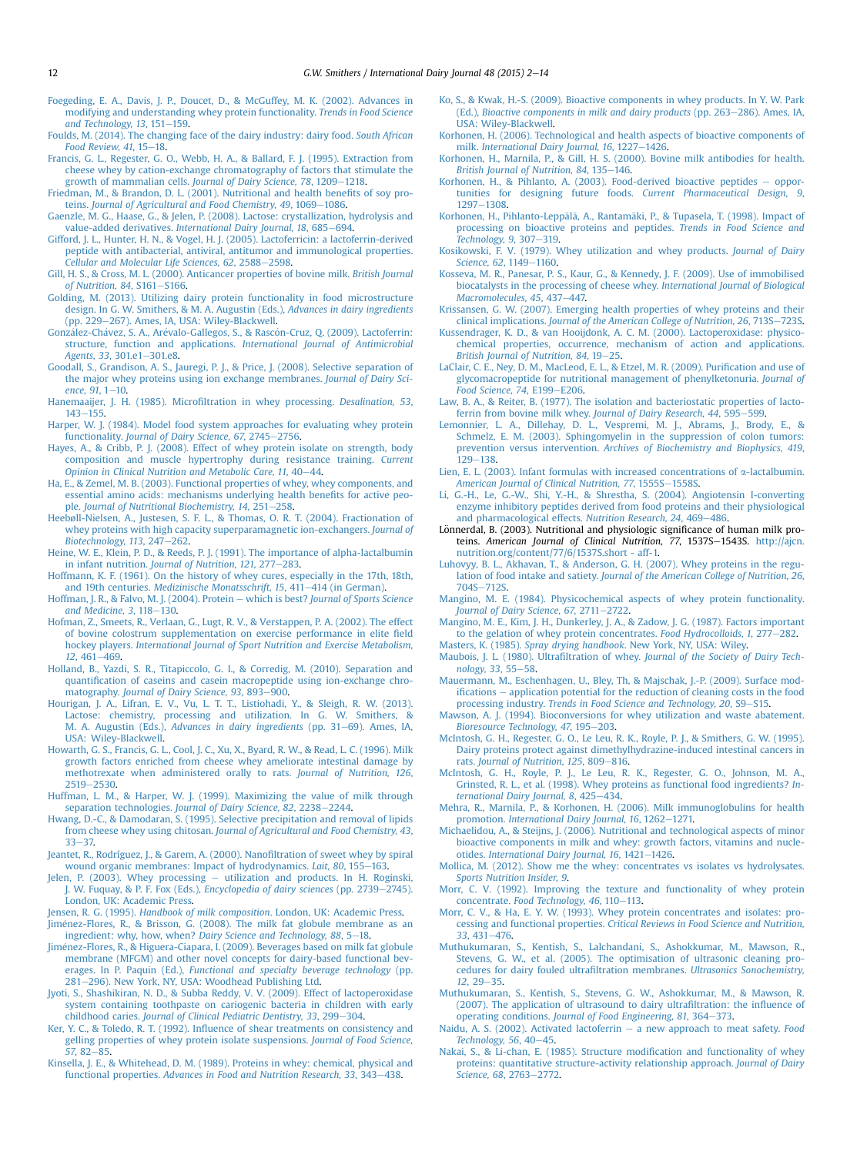- <span id="page-10-0"></span>[Foegeding, E. A., Davis, J. P., Doucet, D., & McGuffey, M. K. \(2002\). Advances in](http://refhub.elsevier.com/S0958-6946(15)00022-9/sref49) [modifying and understanding whey protein functionality.](http://refhub.elsevier.com/S0958-6946(15)00022-9/sref49) Trends in Food Science and Technology,  $13.151-159$  $13.151-159$ .
- [Foulds, M. \(2014\). The changing face of the dairy industry: dairy food.](http://refhub.elsevier.com/S0958-6946(15)00022-9/sref50) South African Food Review,  $41, 15-18$  $41, 15-18$ .
- [Francis, G. L., Regester, G. O., Webb, H. A., & Ballard, F. J. \(1995\). Extraction from](http://refhub.elsevier.com/S0958-6946(15)00022-9/sref51) [cheese whey by cation-exchange chromatography of factors that stimulate the](http://refhub.elsevier.com/S0958-6946(15)00022-9/sref51) [growth of mammalian cells.](http://refhub.elsevier.com/S0958-6946(15)00022-9/sref51) Journal of Dairy Science, 78, 1209-[1218.](http://refhub.elsevier.com/S0958-6946(15)00022-9/sref51)
- [Friedman, M., & Brandon, D. L. \(2001\). Nutritional and health bene](http://refhub.elsevier.com/S0958-6946(15)00022-9/sref52)fits of soy pro-teins. [Journal of Agricultural and Food Chemistry, 49](http://refhub.elsevier.com/S0958-6946(15)00022-9/sref52), 1069-[1086](http://refhub.elsevier.com/S0958-6946(15)00022-9/sref52).

[Gaenzle, M. G., Haase, G., & Jelen, P. \(2008\). Lactose: crystallization, hydrolysis and](http://refhub.elsevier.com/S0958-6946(15)00022-9/sref53) value-added derivatives. [International Dairy Journal, 18](http://refhub.elsevier.com/S0958-6946(15)00022-9/sref53), 685–[694](http://refhub.elsevier.com/S0958-6946(15)00022-9/sref53).

- [Gifford, J. L., Hunter, H. N., & Vogel, H. J. \(2005\). Lactoferricin: a lactoferrin-derived](http://refhub.elsevier.com/S0958-6946(15)00022-9/sref54) [peptide with antibacterial, antiviral, antitumor and immunological properties.](http://refhub.elsevier.com/S0958-6946(15)00022-9/sref54) .<br>[Cellular and Molecular Life Sciences, 62](http://refhub.elsevier.com/S0958-6946(15)00022-9/sref54), 2588–[2598.](http://refhub.elsevier.com/S0958-6946(15)00022-9/sref54)
- [Gill, H. S., & Cross, M. L. \(2000\). Anticancer properties of bovine milk.](http://refhub.elsevier.com/S0958-6946(15)00022-9/sref55) British Journal of Nutrition,  $84$ , S161-[S166.](http://refhub.elsevier.com/S0958-6946(15)00022-9/sref55)
- [Golding, M. \(2013\). Utilizing dairy protein functionality in food microstructure](http://refhub.elsevier.com/S0958-6946(15)00022-9/sref56) [design. In G. W. Smithers, & M. A. Augustin \(Eds.\),](http://refhub.elsevier.com/S0958-6946(15)00022-9/sref56) *Advances in dairy ingredients*<br>[\(pp. 229](http://refhub.elsevier.com/S0958-6946(15)00022-9/sref56)–[267\). Ames, IA, USA: Wiley-Blackwell](http://refhub.elsevier.com/S0958-6946(15)00022-9/sref56).
- [Gonz](http://refhub.elsevier.com/S0958-6946(15)00022-9/sref57)á[lez-Ch](http://refhub.elsevier.com/S0958-6946(15)00022-9/sref57)ávez, S. A., Aré[valo-Gallegos, S., & Rasc](http://refhub.elsevier.com/S0958-6946(15)00022-9/sref57)ón-Cruz, Q. (2009). Lactoferrin: structure, function and applications. [International Journal of Antimicrobial](http://refhub.elsevier.com/S0958-6946(15)00022-9/sref57) [Agents, 33](http://refhub.elsevier.com/S0958-6946(15)00022-9/sref57), 301.e1-[301.e8](http://refhub.elsevier.com/S0958-6946(15)00022-9/sref57).
- [Goodall, S., Grandison, A. S., Jauregi, P. J., & Price, J. \(2008\). Selective separation of](http://refhub.elsevier.com/S0958-6946(15)00022-9/sref58) [the major whey proteins using ion exchange membranes.](http://refhub.elsevier.com/S0958-6946(15)00022-9/sref58) Journal of Dairy Sci $e$ nce, 91, 1–[10.](http://refhub.elsevier.com/S0958-6946(15)00022-9/sref58)
- [Hanemaaijer, J. H. \(1985\). Micro](http://refhub.elsevier.com/S0958-6946(15)00022-9/sref59)filtration in whey processing. Desalination, 53,  $143 - 155$  $143 - 155$  $143 - 155$
- [Harper, W. J. \(1984\). Model food system approaches for evaluating whey protein](http://refhub.elsevier.com/S0958-6946(15)00022-9/sref60) functionality. [Journal of Dairy Science, 67](http://refhub.elsevier.com/S0958-6946(15)00022-9/sref60), 2745-[2756.](http://refhub.elsevier.com/S0958-6946(15)00022-9/sref60)
- [Hayes, A., & Cribb, P. J. \(2008\). Effect of whey protein isolate on strength, body](http://refhub.elsevier.com/S0958-6946(15)00022-9/sref61) [composition and muscle hypertrophy during resistance training.](http://refhub.elsevier.com/S0958-6946(15)00022-9/sref61) Current [Opinion in Clinical Nutrition and Metabolic Care, 11](http://refhub.elsevier.com/S0958-6946(15)00022-9/sref61), 40-[44.](http://refhub.elsevier.com/S0958-6946(15)00022-9/sref61)
- [Ha, E., & Zemel, M. B. \(2003\). Functional properties of whey, whey components, and](http://refhub.elsevier.com/S0958-6946(15)00022-9/sref62) [essential amino acids: mechanisms underlying health bene](http://refhub.elsevier.com/S0958-6946(15)00022-9/sref62)fits for active peo-ple. [Journal of Nutritional Biochemistry, 14](http://refhub.elsevier.com/S0958-6946(15)00022-9/sref62), 251-[258.](http://refhub.elsevier.com/S0958-6946(15)00022-9/sref62)
- [Heebøll-Nielsen, A., Justesen, S. F. L., & Thomas, O. R. T. \(2004\). Fractionation of](http://refhub.elsevier.com/S0958-6946(15)00022-9/sref63) [whey proteins with high capacity superparamagnetic ion-exchangers.](http://refhub.elsevier.com/S0958-6946(15)00022-9/sref63) Journal of [Biotechnology, 113](http://refhub.elsevier.com/S0958-6946(15)00022-9/sref63), 247-[262](http://refhub.elsevier.com/S0958-6946(15)00022-9/sref63).
- [Heine, W. E., Klein, P. D., & Reeds, P. J. \(1991\). The importance of alpha-lactalbumin](http://refhub.elsevier.com/S0958-6946(15)00022-9/sref64) in infant nutrition. [Journal of Nutrition, 121](http://refhub.elsevier.com/S0958-6946(15)00022-9/sref64), 277-[283.](http://refhub.elsevier.com/S0958-6946(15)00022-9/sref64)
- [Hoffmann, K. F. \(1961\). On the history of whey cures, especially in the 17th, 18th,](http://refhub.elsevier.com/S0958-6946(15)00022-9/sref183) and 19th centuries. [Medizinische Monatsschrift, 15](http://refhub.elsevier.com/S0958-6946(15)00022-9/sref183), 411-[414 \(in German\)](http://refhub.elsevier.com/S0958-6946(15)00022-9/sref183).
- [Hoffman, J. R., & Falvo, M. J. \(2004\). Protein](http://refhub.elsevier.com/S0958-6946(15)00022-9/sref65) which is best? [Journal of Sports Science](http://refhub.elsevier.com/S0958-6946(15)00022-9/sref65) and Medicine,  $3, 118-130$  $3, 118-130$ .
- [Hofman, Z., Smeets, R., Verlaan, G., Lugt, R. V., & Verstappen, P. A. \(2002\). The effect](http://refhub.elsevier.com/S0958-6946(15)00022-9/sref66) [of bovine colostrum supplementation on exercise performance in elite](http://refhub.elsevier.com/S0958-6946(15)00022-9/sref66) field hockey players. [International Journal of Sport Nutrition and Exercise Metabolism,](http://refhub.elsevier.com/S0958-6946(15)00022-9/sref66) 12[, 461](http://refhub.elsevier.com/S0958-6946(15)00022-9/sref66)-[469.](http://refhub.elsevier.com/S0958-6946(15)00022-9/sref66)
- [Holland, B., Yazdi, S. R., Titapiccolo, G. I., & Corredig, M. \(2010\). Separation and](http://refhub.elsevier.com/S0958-6946(15)00022-9/sref67) quantifi[cation of caseins and casein macropeptide using ion-exchange chro-](http://refhub.elsevier.com/S0958-6946(15)00022-9/sref67)matography. [Journal of Dairy Science, 93](http://refhub.elsevier.com/S0958-6946(15)00022-9/sref67), 893-[900.](http://refhub.elsevier.com/S0958-6946(15)00022-9/sref67)
- [Hourigan, J. A., Lifran, E. V., Vu, L. T. T., Listiohadi, Y., & Sleigh, R. W. \(2013\).](http://refhub.elsevier.com/S0958-6946(15)00022-9/sref68) [Lactose: chemistry, processing and utilization. In G. W. Smithers, &](http://refhub.elsevier.com/S0958-6946(15)00022-9/sref68) M. A. Augustin (Eds.), [Advances in dairy ingredients](http://refhub.elsevier.com/S0958-6946(15)00022-9/sref68) (pp. 31-[69\). Ames, IA,](http://refhub.elsevier.com/S0958-6946(15)00022-9/sref68) [USA: Wiley-Blackwell.](http://refhub.elsevier.com/S0958-6946(15)00022-9/sref68)
- [Howarth, G. S., Francis, G. L., Cool, J. C., Xu, X., Byard, R. W., & Read, L. C. \(1996\). Milk](http://refhub.elsevier.com/S0958-6946(15)00022-9/sref69) [growth factors enriched from cheese whey ameliorate intestinal damage by](http://refhub.elsevier.com/S0958-6946(15)00022-9/sref69) [methotrexate when administered orally to rats.](http://refhub.elsevier.com/S0958-6946(15)00022-9/sref69) Journal of Nutrition, 126, [2519](http://refhub.elsevier.com/S0958-6946(15)00022-9/sref69)-[2530](http://refhub.elsevier.com/S0958-6946(15)00022-9/sref69).
- [Huffman, L. M., & Harper, W. J. \(1999\). Maximizing the value of milk through](http://refhub.elsevier.com/S0958-6946(15)00022-9/sref70) separation technologies. [Journal of Dairy Science, 82](http://refhub.elsevier.com/S0958-6946(15)00022-9/sref70), 2238-[2244](http://refhub.elsevier.com/S0958-6946(15)00022-9/sref70).
- [Hwang, D.-C., & Damodaran, S. \(1995\). Selective precipitation and removal of lipids](http://refhub.elsevier.com/S0958-6946(15)00022-9/sref71) from cheese whey using chitosan. [Journal of Agricultural and Food Chemistry, 43](http://refhub.elsevier.com/S0958-6946(15)00022-9/sref71),  $33 - 37.$  $33 - 37.$  $33 - 37.$
- [Jeantet, R., Rodríguez, J., & Garem, A. \(2000\). Nano](http://refhub.elsevier.com/S0958-6946(15)00022-9/sref72)filtration of sweet whey by spiral [wound organic membranes: Impact of hydrodynamics.](http://refhub.elsevier.com/S0958-6946(15)00022-9/sref72) Lait, 80, 155-[163](http://refhub.elsevier.com/S0958-6946(15)00022-9/sref72).
- [Jelen, P. \(2003\). Whey processing](http://refhub.elsevier.com/S0958-6946(15)00022-9/sref73) [utilization and products. In H. Roginski,](http://refhub.elsevier.com/S0958-6946(15)00022-9/sref73) [J. W. Fuquay, & P. F. Fox \(Eds.\),](http://refhub.elsevier.com/S0958-6946(15)00022-9/sref73) Encyclopedia of dairy sciences (pp. 2739-[2745\).](http://refhub.elsevier.com/S0958-6946(15)00022-9/sref73) [London, UK: Academic Press.](http://refhub.elsevier.com/S0958-6946(15)00022-9/sref73)
- Jensen, R. G. (1995). Handbook of milk composition[. London, UK: Academic Press](http://refhub.elsevier.com/S0958-6946(15)00022-9/sref74). [Jimenez-Flores, R., & Brisson, G. \(2008\). The milk fat globule membrane as an](http://refhub.elsevier.com/S0958-6946(15)00022-9/sref75) ingredient: why, how, when? [Dairy Science and Technology, 88](http://refhub.elsevier.com/S0958-6946(15)00022-9/sref75), 5-[18.](http://refhub.elsevier.com/S0958-6946(15)00022-9/sref75)
- [Jimenez-Flores, R., & Higuera-Ciapara, I. \(2009\). Beverages based on milk fat globule](http://refhub.elsevier.com/S0958-6946(15)00022-9/sref76) [membrane \(MFGM\) and other novel concepts for dairy-based functional bev](http://refhub.elsevier.com/S0958-6946(15)00022-9/sref76)erages. In P. Paquin (Ed.), [Functional and specialty beverage technology](http://refhub.elsevier.com/S0958-6946(15)00022-9/sref76) (pp. [281](http://refhub.elsevier.com/S0958-6946(15)00022-9/sref76)-[296\). New York, NY, USA: Woodhead Publishing Ltd](http://refhub.elsevier.com/S0958-6946(15)00022-9/sref76).
- [Jyoti, S., Shashikiran, N. D., & Subba Reddy, V. V. \(2009\). Effect of lactoperoxidase](http://refhub.elsevier.com/S0958-6946(15)00022-9/sref77) [system containing toothpaste on cariogenic bacteria in children with early](http://refhub.elsevier.com/S0958-6946(15)00022-9/sref77) childhood caries. [Journal of Clinical Pediatric Dentistry, 33](http://refhub.elsevier.com/S0958-6946(15)00022-9/sref77), 299-[304](http://refhub.elsevier.com/S0958-6946(15)00022-9/sref77).
- Ker, Y. C., & Toledo, R. T. (1992). Infl[uence of shear treatments on consistency and](http://refhub.elsevier.com/S0958-6946(15)00022-9/sref78) [gelling properties of whey protein isolate suspensions.](http://refhub.elsevier.com/S0958-6946(15)00022-9/sref78) Journal of Food Science,  $57, 82 - 85.$  $57, 82 - 85.$  $57, 82 - 85.$  $57, 82 - 85.$  $57, 82 - 85.$
- [Kinsella, J. E., & Whitehead, D. M. \(1989\). Proteins in whey: chemical, physical and](http://refhub.elsevier.com/S0958-6946(15)00022-9/sref79) functional properties. [Advances in Food and Nutrition Research, 33](http://refhub.elsevier.com/S0958-6946(15)00022-9/sref79), 343-[438.](http://refhub.elsevier.com/S0958-6946(15)00022-9/sref79)
- [Ko, S., & Kwak, H.-S. \(2009\). Bioactive components in whey products. In Y. W. Park](http://refhub.elsevier.com/S0958-6946(15)00022-9/sref80) (Ed.), [Bioactive components in milk and dairy products](http://refhub.elsevier.com/S0958-6946(15)00022-9/sref80) (pp. 263–[286\). Ames, IA,](http://refhub.elsevier.com/S0958-6946(15)00022-9/sref80) [USA: Wiley-Blackwell.](http://refhub.elsevier.com/S0958-6946(15)00022-9/sref80)
- [Korhonen, H. \(2006\). Technological and health aspects of bioactive components of](http://refhub.elsevier.com/S0958-6946(15)00022-9/sref81)
- milk. *International Dairy Journal*, 16, 1227–[1426](http://refhub.elsevier.com/S0958-6946(15)00022-9/sref81).<br>[Korhonen, H., Marnila, P., & Gill, H. S. \(2000\). Bovine milk antibodies for health.](http://refhub.elsevier.com/S0958-6946(15)00022-9/sref82) [British Journal of Nutrition, 84](http://refhub.elsevier.com/S0958-6946(15)00022-9/sref82), 135-[146.](http://refhub.elsevier.com/S0958-6946(15)00022-9/sref82)
- [Korhonen, H., & Pihlanto, A. \(2003\). Food-derived bioactive peptides](http://refhub.elsevier.com/S0958-6946(15)00022-9/sref83) [oppor](http://refhub.elsevier.com/S0958-6946(15)00022-9/sref83)[tunities for designing future foods.](http://refhub.elsevier.com/S0958-6946(15)00022-9/sref83) Current Pharmaceutical Design, 9,  $1297 - 1308.$  $1297 - 1308.$  $1297 - 1308.$  $1297 - 1308.$
- [Korhonen, H., Pihlanto-Lepp](http://refhub.elsevier.com/S0958-6946(15)00022-9/sref84)älä[, A., Rantam](http://refhub.elsevier.com/S0958-6946(15)00022-9/sref84)äki, P., & Tupasela, T. (1998). Impact of [processing on bioactive proteins and peptides.](http://refhub.elsevier.com/S0958-6946(15)00022-9/sref84) Trends in Food Science and  $Technology. 9. 307 - 319.$  $Technology. 9. 307 - 319.$
- [Kosikowski, F. V. \(1979\). Whey utilization and whey products.](http://refhub.elsevier.com/S0958-6946(15)00022-9/sref85) Journal of Dairy [Science, 62](http://refhub.elsevier.com/S0958-6946(15)00022-9/sref85), 1149-[1160](http://refhub.elsevier.com/S0958-6946(15)00022-9/sref85).
- [Kosseva, M. R., Panesar, P. S., Kaur, G., & Kennedy, J. F. \(2009\). Use of immobilised](http://refhub.elsevier.com/S0958-6946(15)00022-9/sref86) [biocatalysts in the processing of cheese whey.](http://refhub.elsevier.com/S0958-6946(15)00022-9/sref86) International Journal of Biological Macromolecules,  $45, 437-447$ .
- [Krissansen, G. W. \(2007\). Emerging health properties of whey proteins and their](http://refhub.elsevier.com/S0958-6946(15)00022-9/sref87)  $\alpha$ clinical implications. [Journal of the American College of Nutrition, 26](http://refhub.elsevier.com/S0958-6946(15)00022-9/sref87), 713S-[723S](http://refhub.elsevier.com/S0958-6946(15)00022-9/sref87).
- [Kussendrager, K. D., & van Hooijdonk, A. C. M. \(2000\). Lactoperoxidase: physico](http://refhub.elsevier.com/S0958-6946(15)00022-9/sref88)[chemical properties, occurrence, mechanism of action and applications.](http://refhub.elsevier.com/S0958-6946(15)00022-9/sref88) [British Journal of Nutrition, 84](http://refhub.elsevier.com/S0958-6946(15)00022-9/sref88), 19-[25](http://refhub.elsevier.com/S0958-6946(15)00022-9/sref88).
- [LaClair, C. E., Ney, D. M., MacLeod, E. L., & Etzel, M. R. \(2009\). Puri](http://refhub.elsevier.com/S0958-6946(15)00022-9/sref89)fication and use of [glycomacropeptide for nutritional management of phenylketonuria.](http://refhub.elsevier.com/S0958-6946(15)00022-9/sref89) Journal of<br>[Food Science, 74](http://refhub.elsevier.com/S0958-6946(15)00022-9/sref89), E199–[E206.](http://refhub.elsevier.com/S0958-6946(15)00022-9/sref89)
- [Law, B. A., & Reiter, B. \(1977\). The isolation and bacteriostatic properties of lacto](http://refhub.elsevier.com/S0958-6946(15)00022-9/sref90)[ferrin from bovine milk whey.](http://refhub.elsevier.com/S0958-6946(15)00022-9/sref90) Journal of Dairy Research, 44, 595-[599](http://refhub.elsevier.com/S0958-6946(15)00022-9/sref90).
- [Lemonnier, L. A., Dillehay, D. L., Vespremi, M. J., Abrams, J., Brody, E., &](http://refhub.elsevier.com/S0958-6946(15)00022-9/sref91) [Schmelz, E. M. \(2003\). Sphingomyelin in the suppression of colon tumors:](http://refhub.elsevier.com/S0958-6946(15)00022-9/sref91) prevention versus intervention. [Archives of Biochemistry and Biophysics, 419](http://refhub.elsevier.com/S0958-6946(15)00022-9/sref91), [129](http://refhub.elsevier.com/S0958-6946(15)00022-9/sref91)-138
- [Lien, E. L. \(2003\). Infant formulas with increased concentrations of](http://refhub.elsevier.com/S0958-6946(15)00022-9/sref92)  $\alpha$ -lactalbumin. [American Journal of Clinical Nutrition, 77](http://refhub.elsevier.com/S0958-6946(15)00022-9/sref92), 1555S-[1558S.](http://refhub.elsevier.com/S0958-6946(15)00022-9/sref92)
- [Li, G.-H., Le, G.-W., Shi, Y.-H., & Shrestha, S. \(2004\). Angiotensin I-converting](http://refhub.elsevier.com/S0958-6946(15)00022-9/sref93) [enzyme inhibitory peptides derived from food proteins and their physiological](http://refhub.elsevier.com/S0958-6946(15)00022-9/sref93) [and pharmacological effects.](http://refhub.elsevier.com/S0958-6946(15)00022-9/sref93) Nutrition Research, 24, 469-[486.](http://refhub.elsevier.com/S0958-6946(15)00022-9/sref93)
- Lönnerdal, B. (2003). Nutritional and physiologic significance of human milk proteins. American Journal of Clinical Nutrition, 77, 1537S-1543S. [http://ajcn.](http://ajcn.nutrition.org/content/77/6/1537S.short%20-%20aff-1) [nutrition.org/content/77/6/1537S.short - aff-1.](http://ajcn.nutrition.org/content/77/6/1537S.short%20-%20aff-1)
- [Luhovyy, B. L., Akhavan, T., & Anderson, G. H. \(2007\). Whey proteins in the regu](http://refhub.elsevier.com/S0958-6946(15)00022-9/sref95)lation of food intake and satiety. [Journal of the American College of Nutrition, 26](http://refhub.elsevier.com/S0958-6946(15)00022-9/sref95), [704S](http://refhub.elsevier.com/S0958-6946(15)00022-9/sref95)-[712S.](http://refhub.elsevier.com/S0958-6946(15)00022-9/sref95)
- [Mangino, M. E. \(1984\). Physicochemical aspects of whey protein functionality.](http://refhub.elsevier.com/S0958-6946(15)00022-9/sref96) [Journal of Dairy Science, 67](http://refhub.elsevier.com/S0958-6946(15)00022-9/sref96), 2711-[2722.](http://refhub.elsevier.com/S0958-6946(15)00022-9/sref96)
- [Mangino, M. E., Kim, J. H., Dunkerley, J. A., & Zadow, J. G. \(1987\). Factors important](http://refhub.elsevier.com/S0958-6946(15)00022-9/sref97) [to the gelation of whey protein concentrates.](http://refhub.elsevier.com/S0958-6946(15)00022-9/sref97) Food Hydrocolloids, 1, 277-[282](http://refhub.elsevier.com/S0958-6946(15)00022-9/sref97). Masters, K. (1985). Spray drying handbook[. New York, NY, USA: Wiley.](http://refhub.elsevier.com/S0958-6946(15)00022-9/sref98)
- Maubois, J. L. (1980). Ultrafiltration of whey. [Journal of the Society of Dairy Tech](http://refhub.elsevier.com/S0958-6946(15)00022-9/sref99)[nology, 33](http://refhub.elsevier.com/S0958-6946(15)00022-9/sref99), 55-[58.](http://refhub.elsevier.com/S0958-6946(15)00022-9/sref99)
- [Mauermann, M., Eschenhagen, U., Bley, Th, & Majschak, J.-P. \(2009\). Surface mod](http://refhub.elsevier.com/S0958-6946(15)00022-9/sref100)ifi[cations](http://refhub.elsevier.com/S0958-6946(15)00022-9/sref100) - [application potential for the reduction of cleaning costs in the food](http://refhub.elsevier.com/S0958-6946(15)00022-9/sref100) processing industry. [Trends in Food Science and Technology, 20](http://refhub.elsevier.com/S0958-6946(15)00022-9/sref100), S9-[S15](http://refhub.elsevier.com/S0958-6946(15)00022-9/sref100).
- [Mawson, A. J. \(1994\). Bioconversions for whey utilization and waste abatement.](http://refhub.elsevier.com/S0958-6946(15)00022-9/sref101) [Bioresource Technology, 47](http://refhub.elsevier.com/S0958-6946(15)00022-9/sref101), 195-[203](http://refhub.elsevier.com/S0958-6946(15)00022-9/sref101).
- [McIntosh, G. H., Regester, G. O., Le Leu, R. K., Royle, P. J., & Smithers, G. W. \(1995\).](http://refhub.elsevier.com/S0958-6946(15)00022-9/sref102) [Dairy proteins protect against dimethylhydrazine-induced intestinal cancers in](http://refhub.elsevier.com/S0958-6946(15)00022-9/sref102) rats. [Journal of Nutrition, 125](http://refhub.elsevier.com/S0958-6946(15)00022-9/sref102), 809-[816](http://refhub.elsevier.com/S0958-6946(15)00022-9/sref102)
- [McIntosh, G. H., Royle, P. J., Le Leu, R. K., Regester, G. O., Johnson, M. A.,](http://refhub.elsevier.com/S0958-6946(15)00022-9/sref103) [Grinsted, R. L., et al. \(1998\). Whey proteins as functional food ingredients?](http://refhub.elsevier.com/S0958-6946(15)00022-9/sref103) In[ternational Dairy Journal, 8](http://refhub.elsevier.com/S0958-6946(15)00022-9/sref103), 425-[434](http://refhub.elsevier.com/S0958-6946(15)00022-9/sref103).
- [Mehra, R., Marnila, P., & Korhonen, H. \(2006\). Milk immunoglobulins for health](http://refhub.elsevier.com/S0958-6946(15)00022-9/sref104) promotion. [International Dairy Journal, 16](http://refhub.elsevier.com/S0958-6946(15)00022-9/sref104), 1262-[1271.](http://refhub.elsevier.com/S0958-6946(15)00022-9/sref104)
- [Michaelidou, A., & Steijns, J. \(2006\). Nutritional and technological aspects of minor](http://refhub.elsevier.com/S0958-6946(15)00022-9/sref105) [bioactive components in milk and whey: growth factors, vitamins and nucle-](http://refhub.elsevier.com/S0958-6946(15)00022-9/sref105)otides. [International Dairy Journal, 16](http://refhub.elsevier.com/S0958-6946(15)00022-9/sref105), 1421-[1426](http://refhub.elsevier.com/S0958-6946(15)00022-9/sref105).
- [Mollica, M. \(2012\). Show me the whey: concentrates vs isolates vs hydrolysates.](http://refhub.elsevier.com/S0958-6946(15)00022-9/sref106) [Sports Nutrition Insider, 9](http://refhub.elsevier.com/S0958-6946(15)00022-9/sref106).
- [Morr, C. V. \(1992\). Improving the texture and functionality of whey protein](http://refhub.elsevier.com/S0958-6946(15)00022-9/sref107) concentrate. [Food Technology, 46](http://refhub.elsevier.com/S0958-6946(15)00022-9/sref107), 110-[113.](http://refhub.elsevier.com/S0958-6946(15)00022-9/sref107)
- [Morr, C. V., & Ha, E. Y. W. \(1993\). Whey protein concentrates and isolates: pro](http://refhub.elsevier.com/S0958-6946(15)00022-9/sref108)cessing and functional properties. [Critical Reviews in Food Science and Nutrition,](http://refhub.elsevier.com/S0958-6946(15)00022-9/sref108)  $33, 431 - 476.$  $33, 431 - 476.$  $33, 431 - 476.$  $33, 431 - 476.$  $33, 431 - 476.$
- [Muthukumaran, S., Kentish, S., Lalchandani, S., Ashokkumar, M., Mawson, R.,](http://refhub.elsevier.com/S0958-6946(15)00022-9/sref109) [Stevens, G. W., et al. \(2005\). The optimisation of ultrasonic cleaning pro](http://refhub.elsevier.com/S0958-6946(15)00022-9/sref109)[cedures for dairy fouled ultra](http://refhub.elsevier.com/S0958-6946(15)00022-9/sref109)filtration membranes. Ultrasonics Sonochemistry,  $12.29 - 35.$  $12.29 - 35.$  $12.29 - 35.$
- [Muthukumaran, S., Kentish, S., Stevens, G. W., Ashokkumar, M., & Mawson, R.](http://refhub.elsevier.com/S0958-6946(15)00022-9/sref110) [\(2007\). The application of ultrasound to dairy ultra](http://refhub.elsevier.com/S0958-6946(15)00022-9/sref110)filtration: the influence of operating conditions. [Journal of Food Engineering, 81](http://refhub.elsevier.com/S0958-6946(15)00022-9/sref110), 364-[373](http://refhub.elsevier.com/S0958-6946(15)00022-9/sref110).
- [Naidu, A. S. \(2002\). Activated lactoferrin](http://refhub.elsevier.com/S0958-6946(15)00022-9/sref111)  $-$  [a new approach to meat safety.](http://refhub.elsevier.com/S0958-6946(15)00022-9/sref111) Food [Technology, 56](http://refhub.elsevier.com/S0958-6946(15)00022-9/sref111),  $40-45$ .
- [Nakai, S., & Li-chan, E. \(1985\). Structure modi](http://refhub.elsevier.com/S0958-6946(15)00022-9/sref112)fication and functionality of whey [proteins: quantitative structure-activity relationship approach.](http://refhub.elsevier.com/S0958-6946(15)00022-9/sref112) Journal of Dairy [Science, 68](http://refhub.elsevier.com/S0958-6946(15)00022-9/sref112), 2763-[2772](http://refhub.elsevier.com/S0958-6946(15)00022-9/sref112).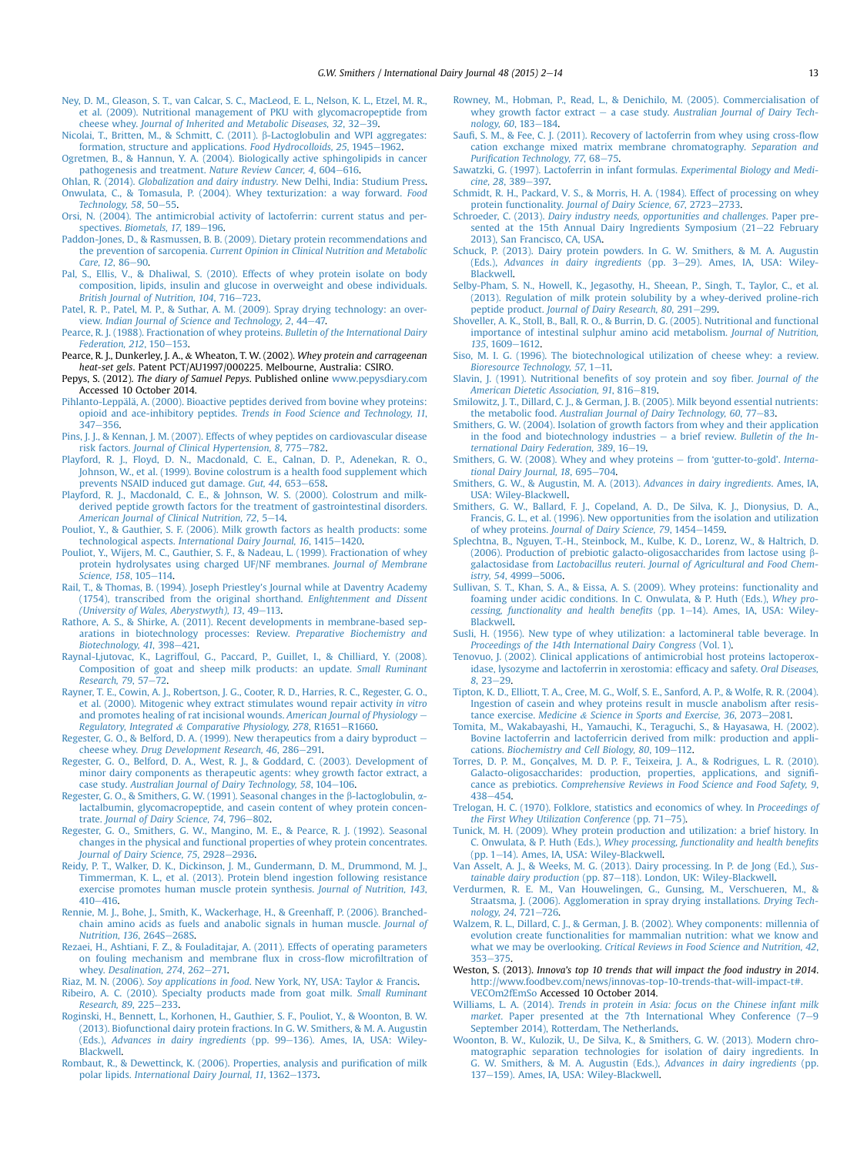- <span id="page-11-0"></span>[Ney, D. M., Gleason, S. T., van Calcar, S. C., MacLeod, E. L., Nelson, K. L., Etzel, M. R.,](http://refhub.elsevier.com/S0958-6946(15)00022-9/sref113) [et al. \(2009\). Nutritional management of PKU with glycomacropeptide from](http://refhub.elsevier.com/S0958-6946(15)00022-9/sref113) cheese whey. [Journal of Inherited and Metabolic Diseases, 32](http://refhub.elsevier.com/S0958-6946(15)00022-9/sref113), 32–[39.](http://refhub.elsevier.com/S0958-6946(15)00022-9/sref113)
- [Nicolai, T., Britten, M., & Schmitt, C. \(2011\).](http://refhub.elsevier.com/S0958-6946(15)00022-9/sref114) β-Lactoglobulin and WPI aggregates: [formation, structure and applications.](http://refhub.elsevier.com/S0958-6946(15)00022-9/sref114) Food Hydrocolloids, 25, 1945-[1962.](http://refhub.elsevier.com/S0958-6946(15)00022-9/sref114)
- [Ogretmen, B., & Hannun, Y. A. \(2004\). Biologically active sphingolipids in cancer](http://refhub.elsevier.com/S0958-6946(15)00022-9/sref115) [pathogenesis and treatment.](http://refhub.elsevier.com/S0958-6946(15)00022-9/sref115) Nature Review Cancer, 4, 604-[616.](http://refhub.elsevier.com/S0958-6946(15)00022-9/sref115) Ohlan, R. (2014). Globalization and dairy industry[. New Delhi, India: Studium Press](http://refhub.elsevier.com/S0958-6946(15)00022-9/sref116).
- [Onwulata, C., & Tomasula, P. \(2004\). Whey texturization: a way forward.](http://refhub.elsevier.com/S0958-6946(15)00022-9/sref117) Food Technology,  $58, 50-55$  $58, 50-55$ .
- [Orsi, N. \(2004\). The antimicrobial activity of lactoferrin: current status and per-](http://refhub.elsevier.com/S0958-6946(15)00022-9/sref118)spectives. [Biometals, 17](http://refhub.elsevier.com/S0958-6946(15)00022-9/sref118), 189-[196](http://refhub.elsevier.com/S0958-6946(15)00022-9/sref118).
- [Paddon-Jones, D., & Rasmussen, B. B. \(2009\). Dietary protein recommendations and](http://refhub.elsevier.com/S0958-6946(15)00022-9/sref119) the prevention of sarcopenia. [Current Opinion in Clinical Nutrition and Metabolic](http://refhub.elsevier.com/S0958-6946(15)00022-9/sref119) Care,  $12, 86 - 90$ .
- [Pal, S., Ellis, V., & Dhaliwal, S. \(2010\). Effects of whey protein isolate on body](http://refhub.elsevier.com/S0958-6946(15)00022-9/sref120) [composition, lipids, insulin and glucose in overweight and obese individuals.](http://refhub.elsevier.com/S0958-6946(15)00022-9/sref120) [British Journal of Nutrition, 104](http://refhub.elsevier.com/S0958-6946(15)00022-9/sref120), 716-[723.](http://refhub.elsevier.com/S0958-6946(15)00022-9/sref120)
- Patel, R. P., Patel, M. P., & Suthar, A. M. (2009). Spray drying technology: an over-<br>view. [Indian Journal of Science and Technology, 2](http://refhub.elsevier.com/S0958-6946(15)00022-9/sref121), 44–[47.](http://refhub.elsevier.com/S0958-6946(15)00022-9/sref121)
- [Pearce, R. J. \(1988\). Fractionation of whey proteins.](http://refhub.elsevier.com/S0958-6946(15)00022-9/sref122) Bulletin of the International Dairy [Federation, 212](http://refhub.elsevier.com/S0958-6946(15)00022-9/sref122), 150-[153](http://refhub.elsevier.com/S0958-6946(15)00022-9/sref122).
- Pearce, R. J., Dunkerley, J. A., & Wheaton, T. W. (2002). Whey protein and carrageenan heat-set gels. Patent PCT/AU1997/000225. Melbourne, Australia: CSIRO.
- Pepys, S. (2012). The diary of Samuel Pepys. Published online [www.pepysdiary.com](http://www.pepysdiary.com) Accessed 10 October 2014.
- Pihlanto-Leppälä[, A. \(2000\). Bioactive peptides derived from bovine whey proteins:](http://refhub.elsevier.com/S0958-6946(15)00022-9/sref124) opioid and ace-inhibitory peptides. [Trends in Food Science and Technology, 11](http://refhub.elsevier.com/S0958-6946(15)00022-9/sref124),  $347 - 356$  $347 - 356$
- [Pins, J. J., & Kennan, J. M. \(2007\). Effects of whey peptides on cardiovascular disease](http://refhub.elsevier.com/S0958-6946(15)00022-9/sref125) risk factors. [Journal of Clinical Hypertension, 8](http://refhub.elsevier.com/S0958-6946(15)00022-9/sref125), 775-[782.](http://refhub.elsevier.com/S0958-6946(15)00022-9/sref125)
- [Playford, R. J., Floyd, D. N., Macdonald, C. E., Calnan, D. P., Adenekan, R. O.,](http://refhub.elsevier.com/S0958-6946(15)00022-9/sref126) [Johnson, W., et al. \(1999\). Bovine colostrum is a health food supplement which](http://refhub.elsevier.com/S0958-6946(15)00022-9/sref126) [prevents NSAID induced gut damage.](http://refhub.elsevier.com/S0958-6946(15)00022-9/sref126) Gut, 44, 653-[658.](http://refhub.elsevier.com/S0958-6946(15)00022-9/sref126)
- [Playford, R. J., Macdonald, C. E., & Johnson, W. S. \(2000\). Colostrum and milk](http://refhub.elsevier.com/S0958-6946(15)00022-9/sref127)[derived peptide growth factors for the treatment of gastrointestinal disorders.](http://refhub.elsevier.com/S0958-6946(15)00022-9/sref127) [American Journal of Clinical Nutrition, 72](http://refhub.elsevier.com/S0958-6946(15)00022-9/sref127), 5-[14.](http://refhub.elsevier.com/S0958-6946(15)00022-9/sref127)
- [Pouliot, Y., & Gauthier, S. F. \(2006\). Milk growth factors as health products: some](http://refhub.elsevier.com/S0958-6946(15)00022-9/sref128) technological aspects. [International Dairy Journal, 16](http://refhub.elsevier.com/S0958-6946(15)00022-9/sref128), 1415-[1420.](http://refhub.elsevier.com/S0958-6946(15)00022-9/sref128)
- [Pouliot, Y., Wijers, M. C., Gauthier, S. F., & Nadeau, L. \(1999\). Fractionation of whey](http://refhub.elsevier.com/S0958-6946(15)00022-9/sref129) [protein hydrolysates using charged UF/NF membranes.](http://refhub.elsevier.com/S0958-6946(15)00022-9/sref129) Journal of Membrane [Science, 158](http://refhub.elsevier.com/S0958-6946(15)00022-9/sref129), 105-[114.](http://refhub.elsevier.com/S0958-6946(15)00022-9/sref129)
- [Rail, T., & Thomas, B. \(1994\). Joseph Priestley's Journal while at Daventry Academy](http://refhub.elsevier.com/S0958-6946(15)00022-9/sref130) 1754), transcribed from the original shorthand. Enlightenment and Dissent [\(University of Wales, Aberystwyth\), 13](http://refhub.elsevier.com/S0958-6946(15)00022-9/sref130), 49-[113.](http://refhub.elsevier.com/S0958-6946(15)00022-9/sref130)
- [Rathore, A. S., & Shirke, A. \(2011\). Recent developments in membrane-based sep](http://refhub.elsevier.com/S0958-6946(15)00022-9/sref131)[arations in biotechnology processes: Review.](http://refhub.elsevier.com/S0958-6946(15)00022-9/sref131) Preparative Biochemistry and [Biotechnology, 41](http://refhub.elsevier.com/S0958-6946(15)00022-9/sref131), 398-[421.](http://refhub.elsevier.com/S0958-6946(15)00022-9/sref131)
- [Raynal-Ljutovac, K., Lagriffoul, G., Paccard, P., Guillet, I., & Chilliard, Y. \(2008\).](http://refhub.elsevier.com/S0958-6946(15)00022-9/sref132) [Composition of goat and sheep milk products: an update.](http://refhub.elsevier.com/S0958-6946(15)00022-9/sref132) Small Ruminant [Research, 79](http://refhub.elsevier.com/S0958-6946(15)00022-9/sref132), 57-[72](http://refhub.elsevier.com/S0958-6946(15)00022-9/sref132).
- [Rayner, T. E., Cowin, A. J., Robertson, J. G., Cooter, R. D., Harries, R. C., Regester, G. O.,](http://refhub.elsevier.com/S0958-6946(15)00022-9/sref133) [et al. \(2000\). Mitogenic whey extract stimulates wound repair activity](http://refhub.elsevier.com/S0958-6946(15)00022-9/sref133) in vitro [and promotes healing of rat incisional wounds.](http://refhub.elsevier.com/S0958-6946(15)00022-9/sref133) American Journal of Physiology e [Regulatory, Integrated](http://refhub.elsevier.com/S0958-6946(15)00022-9/sref133) & [Comparative Physiology, 278](http://refhub.elsevier.com/S0958-6946(15)00022-9/sref133), R1651-[R1660](http://refhub.elsevier.com/S0958-6946(15)00022-9/sref133).
- [Regester, G. O., & Belford, D. A. \(1999\). New therapeutics from a dairy byproduct](http://refhub.elsevier.com/S0958-6946(15)00022-9/sref134) cheese whey. [Drug Development Research, 46](http://refhub.elsevier.com/S0958-6946(15)00022-9/sref134), 286-[291.](http://refhub.elsevier.com/S0958-6946(15)00022-9/sref134)
- [Regester, G. O., Belford, D. A., West, R. J., & Goddard, C. \(2003\). Development of](http://refhub.elsevier.com/S0958-6946(15)00022-9/sref135) [minor dairy components as therapeutic agents: whey growth factor extract, a](http://refhub.elsevier.com/S0958-6946(15)00022-9/sref135) case study. [Australian Journal of Dairy Technology, 58](http://refhub.elsevier.com/S0958-6946(15)00022-9/sref135), 104-[106.](http://refhub.elsevier.com/S0958-6946(15)00022-9/sref135)
- [Regester, G. O., & Smithers, G. W. \(1991\). Seasonal changes in the](http://refhub.elsevier.com/S0958-6946(15)00022-9/sref136)  $\beta$ -lactoglobulin,  $\alpha$ [lactalbumin, glycomacropeptide, and casein content of whey protein concen-](http://refhub.elsevier.com/S0958-6946(15)00022-9/sref136)trate. [Journal of Dairy Science, 74](http://refhub.elsevier.com/S0958-6946(15)00022-9/sref136), 796-[802](http://refhub.elsevier.com/S0958-6946(15)00022-9/sref136).
- [Regester, G. O., Smithers, G. W., Mangino, M. E., & Pearce, R. J. \(1992\). Seasonal](http://refhub.elsevier.com/S0958-6946(15)00022-9/sref137) [changes in the physical and functional properties of whey protein concentrates.](http://refhub.elsevier.com/S0958-6946(15)00022-9/sref137) [Journal of Dairy Science, 75](http://refhub.elsevier.com/S0958-6946(15)00022-9/sref137), 2928-[2936.](http://refhub.elsevier.com/S0958-6946(15)00022-9/sref137)
- [Reidy, P. T., Walker, D. K., Dickinson, J. M., Gundermann, D. M., Drummond, M. J.,](http://refhub.elsevier.com/S0958-6946(15)00022-9/sref138) [Timmerman, K. L., et al. \(2013\). Protein blend ingestion following resistance](http://refhub.elsevier.com/S0958-6946(15)00022-9/sref138) [exercise promotes human muscle protein synthesis.](http://refhub.elsevier.com/S0958-6946(15)00022-9/sref138) Journal of Nutrition, 143,  $410 - 416$  $410 - 416$ .
- [Rennie, M. J., Bohe, J., Smith, K., Wackerhage, H., & Greenhaff, P. \(2006\). Branched](http://refhub.elsevier.com/S0958-6946(15)00022-9/sref139)[chain amino acids as fuels and anabolic signals in human muscle.](http://refhub.elsevier.com/S0958-6946(15)00022-9/sref139) Journal of [Nutrition, 136](http://refhub.elsevier.com/S0958-6946(15)00022-9/sref139), 264S-[268S](http://refhub.elsevier.com/S0958-6946(15)00022-9/sref139).
- [Rezaei, H., Ashtiani, F. Z., & Fouladitajar, A. \(2011\). Effects of operating parameters](http://refhub.elsevier.com/S0958-6946(15)00022-9/sref140) [on fouling mechanism and membrane](http://refhub.elsevier.com/S0958-6946(15)00022-9/sref140) flux in cross-flow microfiltration of whey. [Desalination, 274](http://refhub.elsevier.com/S0958-6946(15)00022-9/sref140), 262-[271.](http://refhub.elsevier.com/S0958-6946(15)00022-9/sref140)
- Riaz, M. N. (2006). Soy applications in food[. New York, NY, USA: Taylor](http://refhub.elsevier.com/S0958-6946(15)00022-9/sref141) & [Francis.](http://refhub.elsevier.com/S0958-6946(15)00022-9/sref141) [Ribeiro, A. C. \(2010\). Specialty products made from goat milk.](http://refhub.elsevier.com/S0958-6946(15)00022-9/sref142) Small Ruminant  $Research, 89, 225-233.$  $Research, 89, 225-233.$  $Research, 89, 225-233.$  $Research, 89, 225-233.$
- [Roginski, H., Bennett, L., Korhonen, H., Gauthier, S. F., Pouliot, Y., & Woonton, B. W.](http://refhub.elsevier.com/S0958-6946(15)00022-9/sref143) [\(2013\). Biofunctional dairy protein fractions. In G. W. Smithers, & M. A. Augustin](http://refhub.elsevier.com/S0958-6946(15)00022-9/sref143) (Eds.), [Advances in dairy ingredients](http://refhub.elsevier.com/S0958-6946(15)00022-9/sref143) (pp. 99-[136\). Ames, IA, USA: Wiley-](http://refhub.elsevier.com/S0958-6946(15)00022-9/sref143)[Blackwell](http://refhub.elsevier.com/S0958-6946(15)00022-9/sref143).
- [Rombaut, R., & Dewettinck, K. \(2006\). Properties, analysis and puri](http://refhub.elsevier.com/S0958-6946(15)00022-9/sref144)fication of milk polar lipids. [International Dairy Journal, 11](http://refhub.elsevier.com/S0958-6946(15)00022-9/sref144), 1362–[1373](http://refhub.elsevier.com/S0958-6946(15)00022-9/sref144).
- [Rowney, M., Hobman, P., Read, L., & Denichilo, M. \(2005\). Commercialisation of](http://refhub.elsevier.com/S0958-6946(15)00022-9/sref145) [whey growth factor extract](http://refhub.elsevier.com/S0958-6946(15)00022-9/sref145)  $-$  a case study. [Australian Journal of Dairy Tech](http://refhub.elsevier.com/S0958-6946(15)00022-9/sref145)[nology, 60](http://refhub.elsevier.com/S0958-6946(15)00022-9/sref145), 183-[184](http://refhub.elsevier.com/S0958-6946(15)00022-9/sref145).
- Saufi[, S. M., & Fee, C. J. \(2011\). Recovery of lactoferrin from whey using cross-](http://refhub.elsevier.com/S0958-6946(15)00022-9/sref146)flow [cation exchange mixed matrix membrane chromatography.](http://refhub.elsevier.com/S0958-6946(15)00022-9/sref146) Separation and Purifi[cation Technology, 77](http://refhub.elsevier.com/S0958-6946(15)00022-9/sref146), 68-[75](http://refhub.elsevier.com/S0958-6946(15)00022-9/sref146).
- [Sawatzki, G. \(1997\). Lactoferrin in infant formulas.](http://refhub.elsevier.com/S0958-6946(15)00022-9/sref147) Experimental Biology and Medi[cine, 28](http://refhub.elsevier.com/S0958-6946(15)00022-9/sref147), 389-[397.](http://refhub.elsevier.com/S0958-6946(15)00022-9/sref147)
- [Schmidt, R. H., Packard, V. S., & Morris, H. A. \(1984\). Effect of processing on whey](http://refhub.elsevier.com/S0958-6946(15)00022-9/sref148) protein functionality. [Journal of Dairy Science, 67](http://refhub.elsevier.com/S0958-6946(15)00022-9/sref148), 2723-[2733.](http://refhub.elsevier.com/S0958-6946(15)00022-9/sref148)
- Schroeder, C. (2013). [Dairy industry needs, opportunities and challenges](http://refhub.elsevier.com/S0958-6946(15)00022-9/sref149). Paper pre[sented at the 15th Annual Dairy Ingredients Symposium \(21](http://refhub.elsevier.com/S0958-6946(15)00022-9/sref149)-[22 February](http://refhub.elsevier.com/S0958-6946(15)00022-9/sref149) [2013\), San Francisco, CA, USA](http://refhub.elsevier.com/S0958-6946(15)00022-9/sref149).
- [Schuck, P. \(2013\). Dairy protein powders. In G. W. Smithers, & M. A. Augustin](http://refhub.elsevier.com/S0958-6946(15)00022-9/sref150) (Eds.), [Advances in dairy ingredients](http://refhub.elsevier.com/S0958-6946(15)00022-9/sref150) (pp. 3-[29\). Ames, IA, USA: Wiley-](http://refhub.elsevier.com/S0958-6946(15)00022-9/sref150)[Blackwell](http://refhub.elsevier.com/S0958-6946(15)00022-9/sref150).
- [Selby-Pham, S. N., Howell, K., Jegasothy, H., Sheean, P., Singh, T., Taylor, C., et al.](http://refhub.elsevier.com/S0958-6946(15)00022-9/sref151) [\(2013\). Regulation of milk protein solubility by a whey-derived proline-rich](http://refhub.elsevier.com/S0958-6946(15)00022-9/sref151) peptide product. [Journal of Dairy Research, 80](http://refhub.elsevier.com/S0958-6946(15)00022-9/sref151), 291-[299.](http://refhub.elsevier.com/S0958-6946(15)00022-9/sref151)
- [Shoveller, A. K., Stoll, B., Ball, R. O., & Burrin, D. G. \(2005\). Nutritional and functional](http://refhub.elsevier.com/S0958-6946(15)00022-9/sref152) [importance of intestinal sulphur amino acid metabolism.](http://refhub.elsevier.com/S0958-6946(15)00022-9/sref152) Journal of Nutrition, 135[, 1609](http://refhub.elsevier.com/S0958-6946(15)00022-9/sref152)-[1612](http://refhub.elsevier.com/S0958-6946(15)00022-9/sref152).
- [Siso, M. I. G. \(1996\). The biotechnological utilization of cheese whey: a review.](http://refhub.elsevier.com/S0958-6946(15)00022-9/sref153) [Bioresource Technology, 57](http://refhub.elsevier.com/S0958-6946(15)00022-9/sref153), 1-[11.](http://refhub.elsevier.com/S0958-6946(15)00022-9/sref153)
- [Slavin, J. \(1991\). Nutritional bene](http://refhub.elsevier.com/S0958-6946(15)00022-9/sref154)fits of soy protein and soy fiber. Journal of the [American Dietetic Association, 91](http://refhub.elsevier.com/S0958-6946(15)00022-9/sref154), 816-[819](http://refhub.elsevier.com/S0958-6946(15)00022-9/sref154).
- [Smilowitz, J. T., Dillard, C. J., & German, J. B. \(2005\). Milk beyond essential nutrients:](http://refhub.elsevier.com/S0958-6946(15)00022-9/sref155) the metabolic food. [Australian Journal of Dairy Technology, 60](http://refhub.elsevier.com/S0958-6946(15)00022-9/sref155), 77–[83.](http://refhub.elsevier.com/S0958-6946(15)00022-9/sref155)
- [Smithers, G. W. \(2004\). Isolation of growth factors from whey and their application](http://refhub.elsevier.com/S0958-6946(15)00022-9/sref156) [in the food and biotechnology industries](http://refhub.elsevier.com/S0958-6946(15)00022-9/sref156)  $-$  a brief review. [Bulletin of the In](http://refhub.elsevier.com/S0958-6946(15)00022-9/sref156)[ternational Dairy Federation, 389](http://refhub.elsevier.com/S0958-6946(15)00022-9/sref156), 16-[19.](http://refhub.elsevier.com/S0958-6946(15)00022-9/sref156)
- [Smithers, G. W. \(2008\). Whey and whey proteins](http://refhub.elsevier.com/S0958-6946(15)00022-9/sref157) from '[gutter-to-gold](http://refhub.elsevier.com/S0958-6946(15)00022-9/sref157)'. Interna[tional Dairy Journal, 18](http://refhub.elsevier.com/S0958-6946(15)00022-9/sref157), 695-[704.](http://refhub.elsevier.com/S0958-6946(15)00022-9/sref157)
- [Smithers, G. W., & Augustin, M. A. \(2013\).](http://refhub.elsevier.com/S0958-6946(15)00022-9/sref158) Advances in dairy ingredients. Ames, IA, [USA: Wiley-Blackwell.](http://refhub.elsevier.com/S0958-6946(15)00022-9/sref158)
- [Smithers, G. W., Ballard, F. J., Copeland, A. D., De Silva, K. J., Dionysius, D. A.,](http://refhub.elsevier.com/S0958-6946(15)00022-9/sref159) [Francis, G. L., et al. \(1996\). New opportunities from the isolation and utilization](http://refhub.elsevier.com/S0958-6946(15)00022-9/sref159) of whey proteins. [Journal of Dairy Science, 79](http://refhub.elsevier.com/S0958-6946(15)00022-9/sref159), 1454-[1459.](http://refhub.elsevier.com/S0958-6946(15)00022-9/sref159)
- [Splechtna, B., Nguyen, T.-H., Steinbock, M., Kulbe, K. D., Lorenz, W., & Haltrich, D.](http://refhub.elsevier.com/S0958-6946(15)00022-9/sref160) [\(2006\). Production of prebiotic galacto-oligosaccharides from lactose using](http://refhub.elsevier.com/S0958-6946(15)00022-9/sref160) bgalactosidase from Lactobacillus reuteri. [Journal of Agricultural and Food Chem-](http://refhub.elsevier.com/S0958-6946(15)00022-9/sref160) $istrv, 54, 4999 - 5006$  $istrv, 54, 4999 - 5006$
- [Sullivan, S. T., Khan, S. A., & Eissa, A. S. \(2009\). Whey proteins: functionality and](http://refhub.elsevier.com/S0958-6946(15)00022-9/sref161) [foaming under acidic conditions. In C. Onwulata, & P. Huth \(Eds.\),](http://refhub.elsevier.com/S0958-6946(15)00022-9/sref161) Whey pro[cessing, functionality and health bene](http://refhub.elsevier.com/S0958-6946(15)00022-9/sref161)fits (pp.  $1-14$ ). Ames, IA, USA: Wiley-[Blackwell](http://refhub.elsevier.com/S0958-6946(15)00022-9/sref161).
- [Susli, H. \(1956\). New type of whey utilization: a lactomineral table beverage. In](http://refhub.elsevier.com/S0958-6946(15)00022-9/sref162) [Proceedings of the 14th International Dairy Congress](http://refhub.elsevier.com/S0958-6946(15)00022-9/sref162) (Vol. 1).
- [Tenovuo, J. \(2002\). Clinical applications of antimicrobial host proteins lactoperox](http://refhub.elsevier.com/S0958-6946(15)00022-9/sref163)[idase, lysozyme and lactoferrin in xerostomia: ef](http://refhub.elsevier.com/S0958-6946(15)00022-9/sref163)ficacy and safety. Oral Diseases,  $8, 23 - 29.$  $8, 23 - 29.$  $8, 23 - 29.$  $8, 23 - 29.$
- [Tipton, K. D., Elliott, T. A., Cree, M. G., Wolf, S. E., Sanford, A. P., & Wolfe, R. R. \(2004\).](http://refhub.elsevier.com/S0958-6946(15)00022-9/sref164) [Ingestion of casein and whey proteins result in muscle anabolism after resis](http://refhub.elsevier.com/S0958-6946(15)00022-9/sref164)[tance exercise.](http://refhub.elsevier.com/S0958-6946(15)00022-9/sref164) Medicine & [Science in Sports and Exercise, 36](http://refhub.elsevier.com/S0958-6946(15)00022-9/sref164), 2073-[2081.](http://refhub.elsevier.com/S0958-6946(15)00022-9/sref164)
- [Tomita, M., Wakabayashi, H., Yamauchi, K., Teraguchi, S., & Hayasawa, H. \(2002\).](http://refhub.elsevier.com/S0958-6946(15)00022-9/sref165) [Bovine lactoferrin and lactoferricin derived from milk: production and appli-](http://refhub.elsevier.com/S0958-6946(15)00022-9/sref165)cations. [Biochemistry and Cell Biology, 80](http://refhub.elsevier.com/S0958-6946(15)00022-9/sref165), 109-[112.](http://refhub.elsevier.com/S0958-6946(15)00022-9/sref165)
- [Torres, D. P. M., Gonçalves, M. D. P. F., Teixeira, J. A., & Rodrigues, L. R. \(2010\).](http://refhub.elsevier.com/S0958-6946(15)00022-9/sref166) [Galacto-oligosaccharides: production, properties, applications, and signi](http://refhub.elsevier.com/S0958-6946(15)00022-9/sref166)ficance as prebiotics. [Comprehensive Reviews in Food Science and Food Safety, 9](http://refhub.elsevier.com/S0958-6946(15)00022-9/sref166), [438](http://refhub.elsevier.com/S0958-6946(15)00022-9/sref166)-[454](http://refhub.elsevier.com/S0958-6946(15)00022-9/sref166).
- [Trelogan, H. C. \(1970\). Folklore, statistics and economics of whey. In](http://refhub.elsevier.com/S0958-6946(15)00022-9/sref167) Proceedings of [the First Whey Utilization Conference](http://refhub.elsevier.com/S0958-6946(15)00022-9/sref167) (pp.  $71-75$ ).
- [Tunick, M. H. \(2009\). Whey protein production and utilization: a brief history. In](http://refhub.elsevier.com/S0958-6946(15)00022-9/sref168) C. Onwulata, & P. Huth (Eds.), [Whey processing, functionality and health bene](http://refhub.elsevier.com/S0958-6946(15)00022-9/sref168)fits [\(pp. 1](http://refhub.elsevier.com/S0958-6946(15)00022-9/sref168)-[14\). Ames, IA, USA: Wiley-Blackwell](http://refhub.elsevier.com/S0958-6946(15)00022-9/sref168).
- [Van Asselt, A. J., & Weeks, M. G. \(2013\). Dairy processing. In P. de Jong \(Ed.\),](http://refhub.elsevier.com/S0958-6946(15)00022-9/sref169) Sus[tainable dairy production](http://refhub.elsevier.com/S0958-6946(15)00022-9/sref169) (pp. 87-[118\). London, UK: Wiley-Blackwell](http://refhub.elsevier.com/S0958-6946(15)00022-9/sref169).
- [Verdurmen, R. E. M., Van Houwelingen, G., Gunsing, M., Verschueren, M., &](http://refhub.elsevier.com/S0958-6946(15)00022-9/sref170) [Straatsma, J. \(2006\). Agglomeration in spray drying installations.](http://refhub.elsevier.com/S0958-6946(15)00022-9/sref170) Drying Tech[nology, 24](http://refhub.elsevier.com/S0958-6946(15)00022-9/sref170), 721-[726.](http://refhub.elsevier.com/S0958-6946(15)00022-9/sref170)
- [Walzem, R. L., Dillard, C. J., & German, J. B. \(2002\). Whey components: millennia of](http://refhub.elsevier.com/S0958-6946(15)00022-9/sref171) [evolution create functionalities for mammalian nutrition: what we know and](http://refhub.elsevier.com/S0958-6946(15)00022-9/sref171) what we may be overlooking. [Critical Reviews in Food Science and Nutrition, 42](http://refhub.elsevier.com/S0958-6946(15)00022-9/sref171), [353](http://refhub.elsevier.com/S0958-6946(15)00022-9/sref171)e[375.](http://refhub.elsevier.com/S0958-6946(15)00022-9/sref171)
- Weston, S. (2013). Innova's top 10 trends that will impact the food industry in 2014. [http://www.foodbev.com/news/innovas-top-10-trends-that-will-impact-t#.](http://www.foodbev.com/news/innovas-top-10-trends-that-will-impact-t#.VECOm2fEmSo) [VECOm2fEmSo](http://www.foodbev.com/news/innovas-top-10-trends-that-will-impact-t#.VECOm2fEmSo) Accessed 10 October 2014.
- Williams, L. A. (2014). [Trends in protein in Asia: focus on the Chinese infant milk](http://refhub.elsevier.com/S0958-6946(15)00022-9/sref173) market. Paper presented at the 7th International Whey Conference  $(7-9)$  $(7-9)$  $(7-9)$ [September 2014\), Rotterdam, The Netherlands.](http://refhub.elsevier.com/S0958-6946(15)00022-9/sref173)
- [Woonton, B. W., Kulozik, U., De Silva, K., & Smithers, G. W. \(2013\). Modern chro](http://refhub.elsevier.com/S0958-6946(15)00022-9/sref174)[matographic separation technologies for isolation of dairy ingredients. In](http://refhub.elsevier.com/S0958-6946(15)00022-9/sref174) [G. W. Smithers, & M. A. Augustin \(Eds.\),](http://refhub.elsevier.com/S0958-6946(15)00022-9/sref174) Advances in dairy ingredients (pp. [137](http://refhub.elsevier.com/S0958-6946(15)00022-9/sref174)-[159\). Ames, IA, USA: Wiley-Blackwell.](http://refhub.elsevier.com/S0958-6946(15)00022-9/sref174)